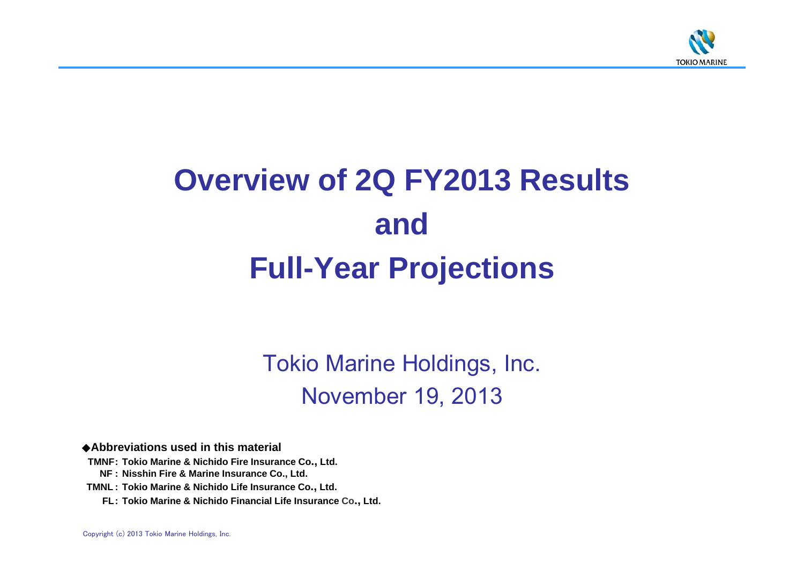

# **Overview of 2Q FY2013 Results andFull-Year Projections**

Tokio Marine Holdings, Inc. November 19, 2013

◆**Abbreviations used in this material**

**TMNF: Tokio Marine & Nichido Fire Insurance Co., Ltd.**

**NF : Nisshin Fire & Marine Insurance Co., Ltd.**

**TMNL : Tokio Marine & Nichido Life Insurance Co., Ltd.**

**FL: Tokio Marine & Nichido Financial Life Insurance Co., Ltd.**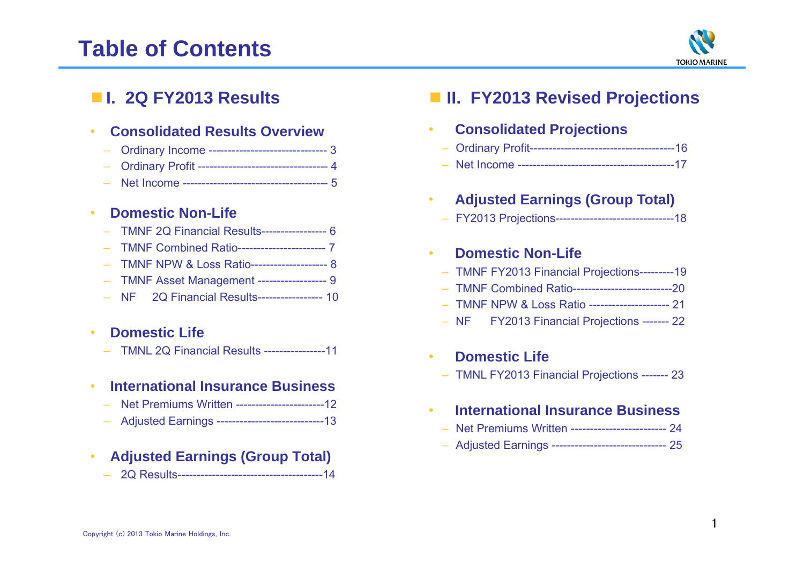# **Table of Contents**



## ■ **I. 2Q FY2013 Results**

#### •**Consolidated Results Overview**

- Ordinary Income ------------------------------- 3
- Ordinary Profit ---------------------------------- 4
- Net Income -------------------------------------- 5

#### •**Domestic Non-Life**

- TMNF 2Q Financial Results----------------- 6
- TMNF Combined Ratio----------------------- 7
- TMNF NPW & Loss Ratio-------------------- 8
- TMNF Asset Management ------------------ 9
- NF 2Q Financial Results----------------- 10

#### •**Domestic Life**

– TMNL 2Q Financial Results ----------------11

#### •**International Insurance Business**

- Net Premiums Written -----------------------12
- Adjusted Earnings ----------------------------13

#### •**Adjusted Earnings (Group Total)**

– 2Q Results--------------------------------------14

## ■ **II. FY2013 Revised Projections**

- • **Consolidated Projections**
	- Ordinary Profit--------------------------------------16
	- Net Income -----------------------------------------17
- • **Adjusted Earnings (Group Total)**
	- FY2013 Projections-------------------------------18

#### •**Domestic Non-Life**

- TMNF FY2013 Financial Projections---------19
- TMNF Combined Ratio--------------------------20
- TMNF NPW & Loss Ratio --------------------- 21
- NF FY2013 Financial Projections ------- 22

#### •**Domestic Life**

– TMNL FY2013 Financial Projections ------- 23

#### •**International Insurance Business**

- Net Premiums Written ------------------------- 24
- Adjusted Earnings ------------------------------ 25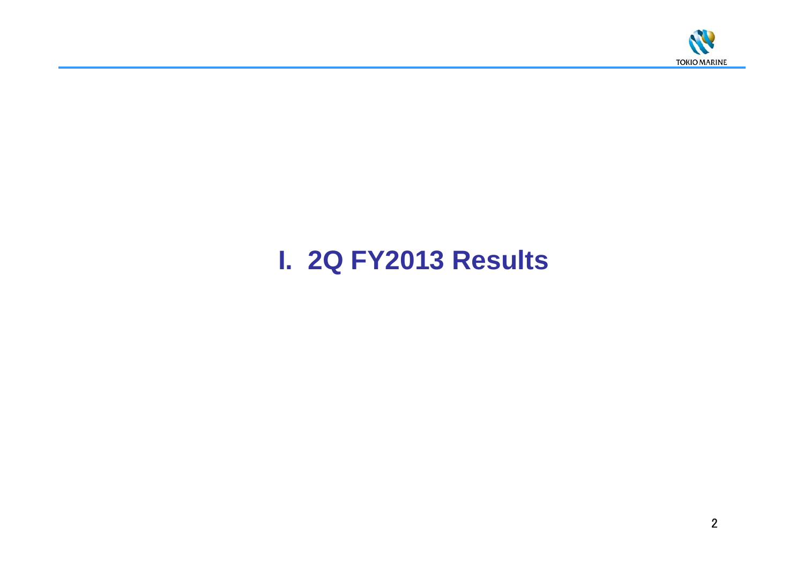

# **I. 2Q FY2013 Results**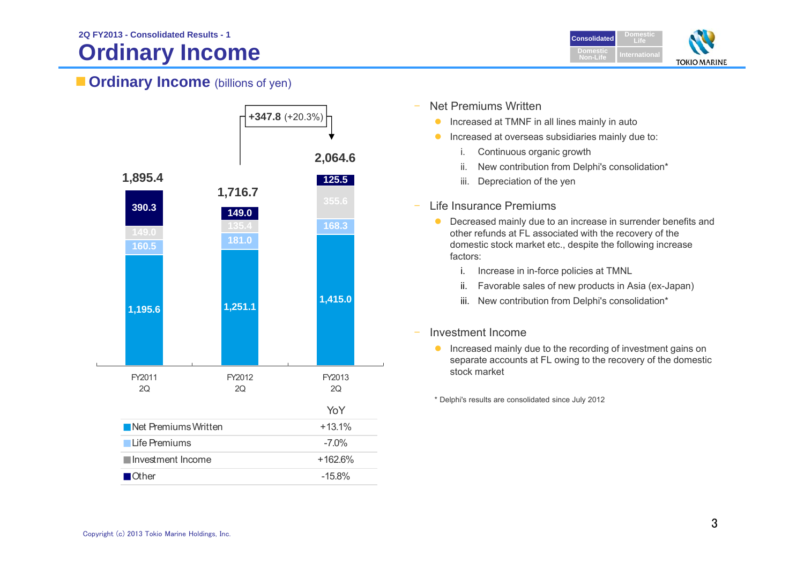# **Ordinary Income**



**Cordinary Income** (billions of yen)



- Net Premiums Written
	- $\bullet$ Increased at TMNF in all lines mainly in auto
	- $\bullet$  Increased at overseas subsidiaries mainly due to:
		- i. Continuous organic growth
		- ii. New contribution from Delphi's consolidation\*
		- iii. Depreciation of the yen
- – Life Insurance Premiums
	- $\bullet$  Decreased mainly due to an increase in surrender benefits and other refunds at FL associated with the recovery of the domestic stock market etc., despite the following increase factors:
		- i. Increase in in-force policies at TMNL
		- ii.Favorable sales of new products in Asia (ex-Japan)
		- iii. New contribution from Delphi's consolidation\*
- Investment Income
	- **Increased mainly due to the recording of investment gains on** separate accounts at FL owing to the recovery of the domestic stock market
	- \* Delphi's results are consolidated since July 2012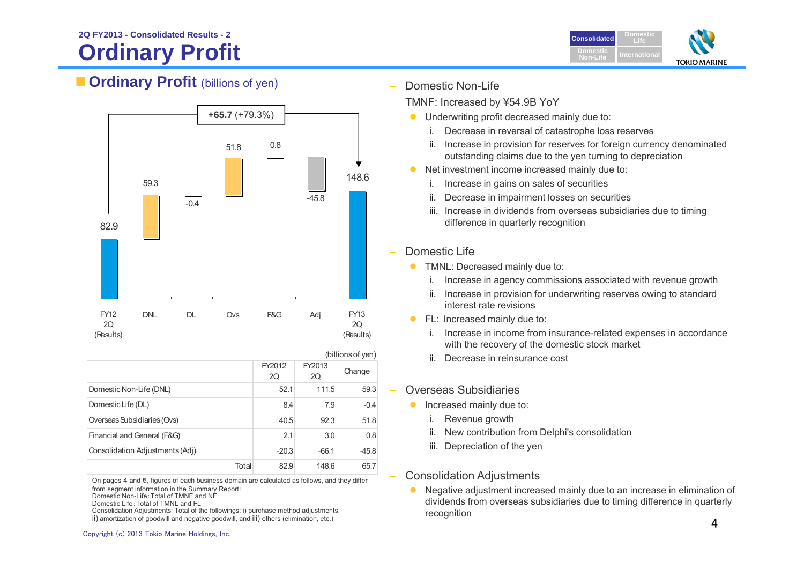

## **Cordinary Profit** (billions of yen) – Domestic Non-Life



|                                 | (billions of yen) |              |              |         |
|---------------------------------|-------------------|--------------|--------------|---------|
|                                 |                   | FY2012<br>2Q | FY2013<br>2Q | Change  |
| Domestic Non-Life (DNL)         |                   | 52.1         | 111.5        | 59.3    |
| Domestic Life (DL)              |                   | 8.4          | 7.9          | $-0.4$  |
| Overseas Subsidiaries (Ovs)     |                   | 40.5         | 92.3         | 51.8    |
| Financial and General (F&G)     |                   | 2.1          | 3.0          | 0.8     |
| Consolidation Adjustments (Adj) |                   | $-20.3$      | $-66.1$      | $-45.8$ |
|                                 | Total             | 82.9         | 148.6        | 65.7    |

On pages 4 and 5, figures of each business domain are calculated as follows, and they differ from segment information in the Summary Report:

Domestic Non-Life:Total of TMNF and NF

Domestic Life:Total of TMNL and FL

Consolidation Adjustments:Total of the followings: i) purchase method adjustments, ii) amortization of goodwill and negative goodwill, and iii) others (elimination, etc.)

TMNF: Increased by ¥54.9B YoY

- **•** Underwriting profit decreased mainly due to:
	- i. Decrease in reversal of catastrophe loss reserves
	- ii. Increase in provision for reserves for foreign currency denominated outstanding claims due to the yen turning to depreciation
- Net investment income increased mainly due to:
	- i. Increase in gains on sales of securities
	- ii. Decrease in impairment losses on securities
	- iii. Increase in dividends from overseas subsidiaries due to timing difference in quarterly recognition
- Domestic Life
	- **TMNL: Decreased mainly due to:** 
		- i. Increase in agency commissions associated with revenue growth
		- ii. Increase in provision for underwriting reserves owing to standard interest rate revisions
	- **FL: Increased mainly due to:** 
		- i. Increase in income from insurance-related expenses in accordance with the recovery of the domestic stock market
		- ii. Decrease in reinsurance cost

#### Overseas Subsidiaries

- **Increased mainly due to:** 
	- i. Revenue growth
	- ii. New contribution from Delphi's consolidation
	- iii. Depreciation of the yen

### Consolidation Adjustments

• Negative adjustment increased mainly due to an increase in elimination of dividends from overseas subsidiaries due to timing difference in quarterly recognition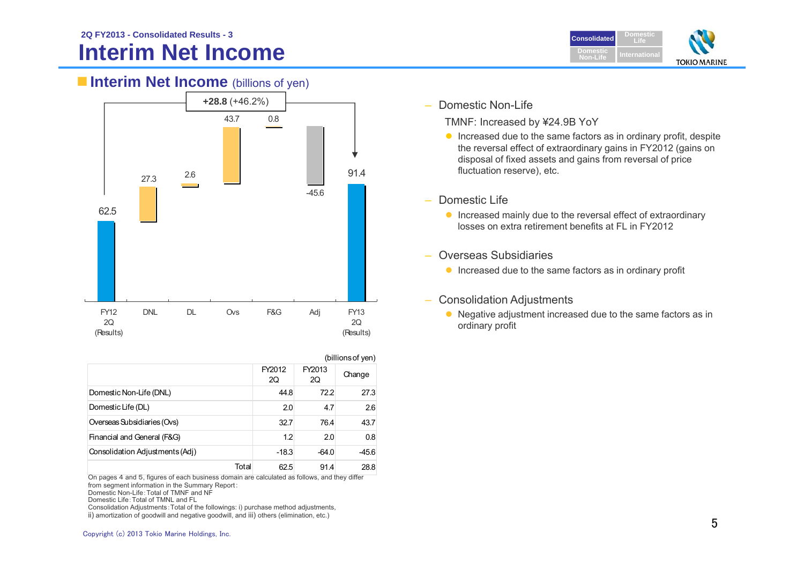## **Interim Net Income 2Q FY2013 - Consolidated Results - 3**



## **Interim Net Income** (billions of yen)



|                                 |       | (billions of yen) |              |         |
|---------------------------------|-------|-------------------|--------------|---------|
|                                 |       | FY2012<br>2Q      | FY2013<br>2Q | Change  |
| Domestic Non-Life (DNL)         |       | 44.8              | 72.2         | 27.3    |
| Domestic Life (DL)              |       | 2.0               | 4.7          | 2.6     |
| Overseas Subsidiaries (Ovs)     |       | 32.7              | 76.4         | 43.7    |
| Financial and General (F&G)     |       | 1.2               | 2.0          | 0.8     |
| Consolidation Adjustments (Adj) |       | $-18.3$           | $-64.0$      | $-45.6$ |
|                                 | Total | 62.5              | 91.4         | 28.8    |

On pages 4 and 5, figures of each business domain are calculated as follows, and they differ from segment information in the Summary Report:

Domestic Non-Life:Total of TMNF and NF

Domestic Life:Total of TMNL and FL

Consolidation Adjustments:Total of the followings: i) purchase method adjustments, ii) amortization of goodwill and negative goodwill, and iii) others (elimination, etc.)

#### $\overline{\phantom{a}}$ Domestic Non-Life

TMNF: Increased by ¥24.9B YoY

- $\bullet$  Increased due to the same factors as in ordinary profit, despite the reversal effect of extraordinary gains in FY2012 (gains on disposal of fixed assets and gains from reversal of price fluctuation reserve), etc.
- –Domestic Life
	- **Increased mainly due to the reversal effect of extraordinary** losses on extra retirement benefits at FL in FY2012
- $\overline{\phantom{0}}$  Overseas Subsidiaries
	- **Increased due to the same factors as in ordinary profit**
- Consolidation Adjustments
	- Negative adjustment increased due to the same factors as in ordinary profit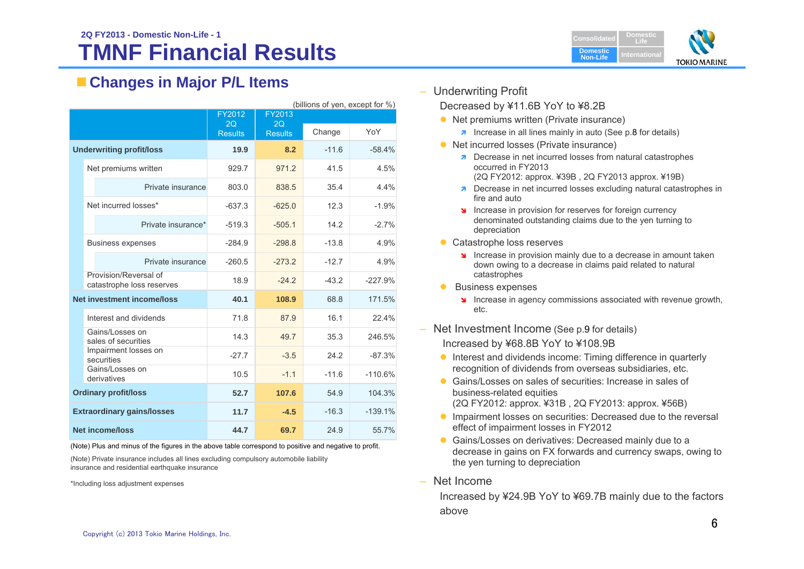

## **Changes in Major P/L Items**

| (billions of yen, except for %)   |                                                    |                      |                      |         |           |
|-----------------------------------|----------------------------------------------------|----------------------|----------------------|---------|-----------|
|                                   |                                                    | FY2012               | FY2013               |         |           |
|                                   |                                                    | 2Q<br><b>Results</b> | 2Q<br><b>Results</b> | Change  | YoY       |
|                                   | <b>Underwriting profit/loss</b>                    | 19.9                 | 8.2                  | $-11.6$ | $-58.4%$  |
|                                   | Net premiums written                               | 929.7                | 971.2                | 41.5    | 4.5%      |
|                                   | Private insurance                                  | 803.0                | 838.5                | 35.4    | 4.4%      |
|                                   | Net incurred losses*                               | $-637.3$             | $-625.0$             | 12.3    | $-1.9%$   |
|                                   | Private insurance*                                 | $-519.3$             | $-505.1$             | 14.2    | $-2.7%$   |
|                                   | <b>Business expenses</b>                           | $-284.9$             | $-298.8$             | $-13.8$ | 4.9%      |
|                                   | Private insurance                                  | $-260.5$             | $-273.2$             | $-12.7$ | 4.9%      |
|                                   | Provision/Reversal of<br>catastrophe loss reserves | 18.9                 | $-24.2$              | $-43.2$ | $-227.9%$ |
|                                   | <b>Net investment income/loss</b>                  | 40.1                 | 108.9                | 68.8    | 171.5%    |
|                                   | Interest and dividends                             | 71.8                 | 87.9                 | 16.1    | 22.4%     |
|                                   | Gains/Losses on<br>sales of securities             | 14.3                 | 49.7                 | 35.3    | 246.5%    |
|                                   | Impairment losses on<br>securities                 | $-27.7$              | $-3.5$               | 24.2    | $-87.3%$  |
|                                   | Gains/Losses on<br>derivatives                     | 10.5                 | $-1.1$               | $-11.6$ | $-110.6%$ |
| <b>Ordinary profit/loss</b>       |                                                    | 52.7                 | 107.6                | 54.9    | 104.3%    |
| <b>Extraordinary gains/losses</b> |                                                    | 11.7                 | $-4.5$               | $-16.3$ | $-139.1%$ |
|                                   | <b>Net income/loss</b>                             | 44.7                 | 69.7                 | 24.9    | 55.7%     |

(Note) Plus and minus of the figures in the above table correspond to positive and negative to profit.

(Note) Private insurance includes all lines excluding compulsory automobile liability insurance and residential earthquake insurance

\*Including loss adjustment expenses

– Underwriting Profit

Decreased by ¥11.6B YoY to ¥8.2B

- Net premiums written (Private insurance)
	- $\lambda$  Increase in all lines mainly in auto (See p.8 for details)
- Net incurred losses (Private insurance)
	- **Decrease in net incurred losses from natural catastrophes** occurred in FY2013(2Q FY2012: approx. ¥39B , 2Q FY2013 approx. ¥19B)
	- **7** Decrease in net incurred losses excluding natural catastrophes in fire and auto
	- Increase in provision for reserves for foreign currency denominated outstanding claims due to the yen turning to depreciation
- Catastrophe loss reserves
	- Increase in provision mainly due to a decrease in amount taken down owing to a decrease in claims paid related to natural catastrophes
- **Business expenses** 
	- Increase in agency commissions associated with revenue growth, etc.
- Net Investment Income (See p.9 for details) Increased by ¥68.8B YoY to ¥108.9B
	- **•** Interest and dividends income: Timing difference in quarterly recognition of dividends from overseas subsidiaries, etc.
	- Gains/Losses on sales of securities: Increase in sales of business-related equities
		- (2Q FY2012: approx. ¥31B , 2Q FY2013: approx. ¥56B)
	- **IMPA IMPA:** Impairment losses on securities: Decreased due to the reversal effect of impairment losses in FY2012
	- **Gains/Losses on derivatives: Decreased mainly due to a** decrease in gains on FX forwards and currency swaps, owing to the yen turning to depreciation
- Net Income

Increased by ¥24.9B YoY to ¥69.7B mainly due to the factors above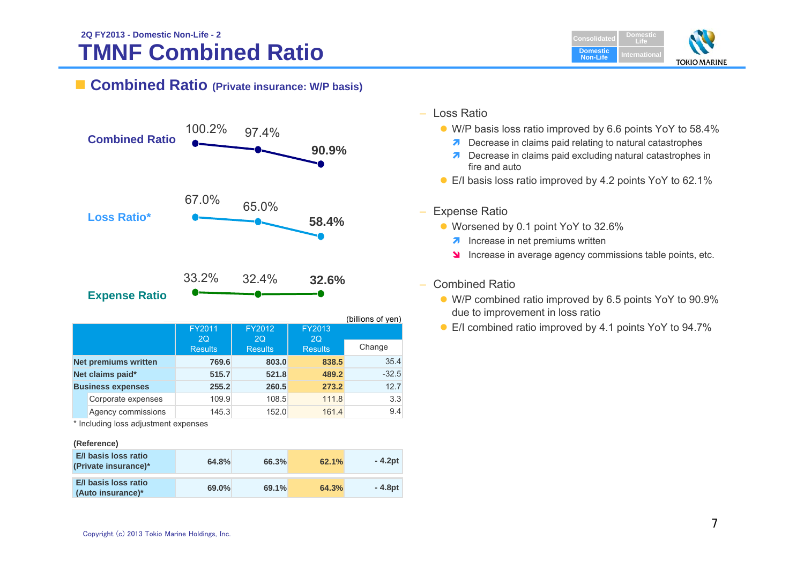#### **TMNF Combined Ratio 2Q FY2013 - Domestic Non-Life - 2Consolidated Consolidated**



### **Combined Ratio (Private insurance: W/P basis)**



|  |                             |                             |                             |                      | (Dillions of yen) |
|--|-----------------------------|-----------------------------|-----------------------------|----------------------|-------------------|
|  |                             | FY2011                      | FY2012                      | FY2013               |                   |
|  |                             | <b>2Q</b><br><b>Results</b> | <b>2Q</b><br><b>Results</b> | 2Q<br><b>Results</b> | Change            |
|  | <b>Net premiums written</b> | 769.6                       | 803.0                       | 838.5                | 35.4              |
|  | Net claims paid*            | 515.7                       | 521.8                       | 489.2                | $-32.5$           |
|  | <b>Business expenses</b>    | 255.2                       | 260.5                       | 273.2                | 12.7              |
|  | Corporate expenses          | 109.9                       | 108.5                       | 111.8                | 3.3               |
|  | Agency commissions          | 145.3                       | 152.0                       | 161.4                | 9.4               |

\* Including loss adjustment expenses

#### **(Reference)**

| E/I basis loss ratio<br>(Private insurance)*     | 64.8% | 66.3% | 62.1% | - 4.2pt |
|--------------------------------------------------|-------|-------|-------|---------|
| <b>E/I basis loss ratio</b><br>(Auto insurance)* | 69.0% | 69.1% | 64.3% | - 4.8pt |

- Loss Ratio
	- W/P basis loss ratio improved by 6.6 points YoY to 58.4%
		- **7** Decrease in claims paid relating to natural catastrophes
		- **7** Decrease in claims paid excluding natural catastrophes in fire and auto
	- E/I basis loss ratio improved by 4.2 points YoY to 62.1%
- – Expense Ratio
	- Worsened by 0.1 point YoY to 32.6%
		- **A** Increase in net premiums written
		- Increase in average agency commissions table points, etc.
- – Combined Ratio
	- W/P combined ratio improved by 6.5 points YoY to 90.9% due to improvement in loss ratio
- (billions of yen)<br>
E/I combined ratio improved by 4.1 points YoY to 94.7%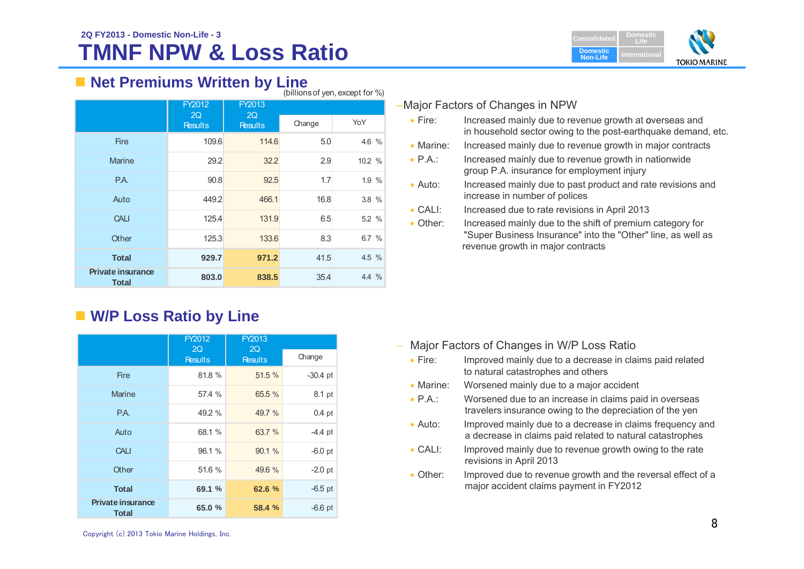#### **TMNF NPW & Loss Ratio2Q FY2013 - Domestic Non-Life - 3Consolidated**

#### ■ Net Premiums Written by Line  $\overline{\text{J}}$  (billions of yen, except for  $\frac{0}{\lambda}$ )

| (MILIOLIS VI YOH, CACCPL IVI 70)         |                |                     |                  |         |
|------------------------------------------|----------------|---------------------|------------------|---------|
|                                          | FY2012<br>2Q   | <b>FY2013</b><br>2Q |                  |         |
|                                          | <b>Results</b> | <b>Results</b>      | Change           | YoY     |
| Fire                                     | 109.6          | 114.6               | 5.0              | 4.6 %   |
| <b>Marine</b>                            | 29.2           | 32.2                | 2.9              | 10.2 %  |
| P.A.                                     | 90.8           | 92.5                | 1.7 <sup>2</sup> | 1.9%    |
| Auto                                     | 449.2          | 466.1               | 16.8             | 3.8 %   |
| <b>CALI</b>                              | 125.4          | 131.9               | 6.5              | 5.2 %   |
| Other                                    | 125.3          | 133.6               | 8.3              | 6.7%    |
| <b>Total</b>                             | 929.7          | 971.2               | 41.5             | 4.5 %   |
| <b>Private insurance</b><br><b>Total</b> | 803.0          | 838.5               | 35.4             | $4.4\%$ |

## **W/P Loss Ratio by Line**

|                                          | FY2012               | <b>FY2013</b>        |                   |
|------------------------------------------|----------------------|----------------------|-------------------|
|                                          | 2Q<br><b>Results</b> | 2Q<br><b>Results</b> | Change            |
| <b>Fire</b>                              | 81.8%                | 51.5 %               | $-30.4$ pt        |
| Marine                                   | 57.4 %               | 65.5 %               | 8.1 pt            |
| P.A.                                     | 49.2 %               | 49.7 %               | 0.4 <sub>pt</sub> |
| Auto                                     | 68.1 %               | 63.7 %               | $-4.4$ pt         |
| <b>CALI</b>                              | 96.1 %               | 90.1 %               | $-6.0$ pt         |
| Other                                    | 51.6 %               | 49.6 %               | $-2.0$ pt         |
| <b>Total</b>                             | 69.1 %               | 62.6 %               | $-6.5$ pt         |
| <b>Private insurance</b><br><b>Total</b> | 65.0 %               | 58.4 %               | $-6.6$ pt         |

#### –Major Factors of Changes in NPW

- $\bullet$  Fire: Increased mainly due to revenue growth at overseas and in household sector owing to the post-earthquake demand, etc.
- Marine: Increased mainly due to revenue growth in major contracts
- $\bullet$  PA $\cdot$ Increased mainly due to revenue growth in nationwide group P.A. insurance for employment injury
- $\bullet$  Auto: Increased mainly due to past product and rate revisions and increase in number of polices
- $\bullet$  CALI: Increased due to rate revisions in April 2013
- $\bullet$  Other: Increased mainly due to the shift of premium category for "Super Business Insurance" into the "Other" line, as well as revenue growth in major contracts

- Major Factors of Changes in W/P Loss Ratio
	- $\bullet$  Fire: Improved mainly due to a decrease in claims paid related to natural catastrophes and others
	- $\bullet$  Marine: Worsened mainly due to a major accident
	- $\bullet$  P.A.: Worsened due to an increase in claims paid in overseas travelers insurance owing to the depreciation of the yen
	- $\bullet$  Auto: Improved mainly due to a decrease in claims frequency and a decrease in claims paid related to natural catastrophes
	- $\bullet$  CALE Improved mainly due to revenue growth owing to the rate revisions in April 2013
	- Other: Improved due to revenue growth and the reversal effect of a major accident claims payment in FY2012

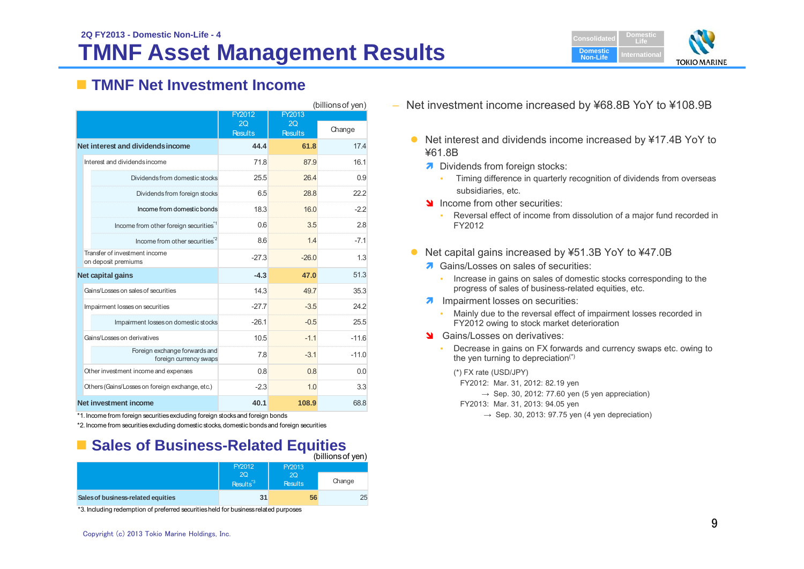

## **TMNF Net Investment Income**

| (billions of yen)                                       |                      |                      |         |  |
|---------------------------------------------------------|----------------------|----------------------|---------|--|
|                                                         | FY2012               | FY2013               |         |  |
|                                                         | 2Q<br><b>Results</b> | 2O<br><b>Results</b> | Change  |  |
| Net interest and dividends income                       | 44.4                 | 61.8                 | 17.4    |  |
| Interest and dividends income                           | 71.8                 | 87.9                 | 16.1    |  |
| Dividends from domestic stocks                          | 25.5                 | 26.4                 | 0.9     |  |
| Dividends from foreign stocks                           | 6.5                  | 28.8                 | 222     |  |
| Income from domestic bonds                              | 18.3                 | 16.0                 | $-22$   |  |
| Income from other foreign securities <sup>1</sup>       | 0.6                  | 3.5                  | 2.8     |  |
| Income from other securities <sup>2</sup>               | 8.6                  | 14                   | $-71$   |  |
| Transfer of investment income<br>on deposit premiums    | $-27.3$              | $-26.0$              | 1.3     |  |
| Net capital gains                                       | $-4.3$               | 47.0                 | 51.3    |  |
| Gains/Losses on sales of securities                     | 14.3                 | 497                  | 35.3    |  |
| Impairment losses on securities                         | $-27.7$              | $-3.5$               | 242     |  |
| Impairment losses on domestic stocks                    | $-261$               | $-0.5$               | 25.5    |  |
| Gains/Losses on derivatives                             | 10.5                 | $-11$                | $-116$  |  |
| Foreign exchange forwards and<br>foreign currency swaps | 7.8                  | $-3.1$               | $-11.0$ |  |
| Other investment income and expenses                    | 0.8                  | 0.8                  | 0.0     |  |
| Others (Gains/Losses on foreign exchange, etc.)         | $-2.3$               | 1.0                  | 3.3     |  |
| Net investment income                                   | 40.1                 | 108.9                | 68.8    |  |

\*1. Income from foreign securities excluding foreign stocks and foreign bonds

\*2. Income from securities excluding domestic stocks, domestic bonds and foreign securities

## **Example Sales of Business-Related Equities**

|                                    |                             |                      | (billions of yen) |
|------------------------------------|-----------------------------|----------------------|-------------------|
|                                    | FY2012                      | FY2013               |                   |
|                                    | 2O<br>Results <sup>*3</sup> | 2O<br><b>Results</b> | Change            |
| Sales of business-related equities | 31                          | 56                   | 25                |

\*3. Including redemption of preferred securities held for business related purposes

- Net interest and dividends income increased by ¥17.4B YoY to ¥61.8B
	- Dividends from foreign stocks:
		- $\bullet$  . Timing difference in quarterly recognition of dividends from overseas subsidiaries, etc.
	- Income from other securities:
		- Reversal effect of income from dissolution of a major fund recorded in FY2012
- $\bullet$  Net capital gains increased by ¥51.3B YoY to ¥47.0B
	- **A** Gains/Losses on sales of securities:
		- Increase in gains on sales of domestic stocks corresponding to the progress of sales of business-related equities, etc.
	- **A** Impairment losses on securities:
		- Mainly due to the reversal effect of impairment losses recorded in FY2012 owing to stock market deterioration
	- State Gains/Losses on derivatives:
		- Decrease in gains on FX forwards and currency swaps etc. owing to the yen turning to depreciation(\*)

(\*) FX rate (USD/JPY)

- FY2012: Mar. 31, 2012: 82.19 yen
	- $\rightarrow$  Sep. 30, 2012: 77.60 yen (5 yen appreciation)
- FY2013: Mar. 31, 2013: 94.05 yen
	- $\rightarrow$  Sep. 30, 2013: 97.75 yen (4 yen depreciation)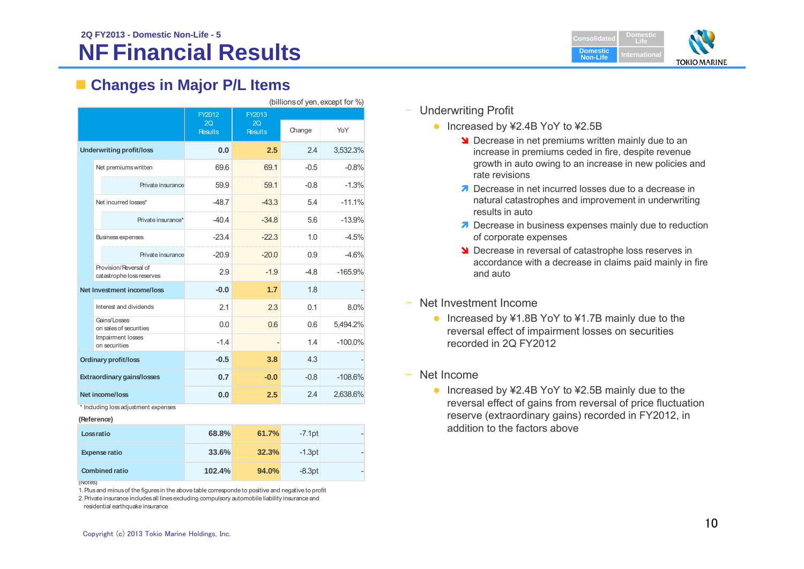#### **NF Financial Results 2Q FY2013 - Domestic Non-Life - 5Consolidated Consolidated**



## **Changes in Major P/L Items**

|                             | (billions of yen, except for %)                    |                      |                      |        |            |
|-----------------------------|----------------------------------------------------|----------------------|----------------------|--------|------------|
|                             |                                                    | FY2012               | FY2013               |        |            |
|                             |                                                    | 2Q<br><b>Results</b> | 2Q<br><b>Results</b> | Change | YoY        |
|                             | <b>Underwriting profit/loss</b>                    | 0.0                  | 2.5                  | 2.4    | 3,532.3%   |
|                             | Net premiums written                               | 69.6                 | 69.1                 | $-0.5$ | $-0.8%$    |
|                             | Private insurance                                  | 59.9                 | 59.1                 | $-0.8$ | $-1.3%$    |
|                             | Net incurred losses*                               | $-48.7$              | $-43.3$              | 5.4    | $-11.1%$   |
|                             | Private insurance*                                 | $-40.4$              | $-34.8$              | 5.6    | $-13.9%$   |
|                             | Business expenses                                  | $-23.4$              | $-22.3$              | 1.0    | $-4.5%$    |
|                             | Private insurance                                  | $-20.9$              | $-20.0$              | 0.9    | $-4.6%$    |
|                             | Provision/Reversal of<br>catastrophe loss reserves | 2.9                  | $-1.9$               | $-4.8$ | $-165.9%$  |
|                             | Net Investment income/loss                         | $-0.0$               | 1.7                  | 1.8    |            |
|                             | Interest and dividends                             | 2.1                  | 2.3                  | 0.1    | 8.0%       |
|                             | Gains/Losses<br>on sales of securities             | 0 <sub>0</sub>       | 0.6                  | 0.6    | 5.494.2%   |
|                             | Impairment losses<br>on securities                 | $-1.4$               |                      | 1.4    | $-100.0\%$ |
| <b>Ordinary profit/loss</b> |                                                    | $-0.5$               | 3.8                  | 4.3    |            |
|                             | Extraordinary gains/losses                         | 0.7                  | $-0.0$               | $-0.8$ | $-108.6%$  |
|                             | Net income/loss                                    | 0.0                  | 2.5                  | 2.4    | 2,638.6%   |

\* Including loss adjustment expenses

#### **(Reference)**

| Lossratio             | 68.8%  | 61.7% | $-7.1$ pt |  |
|-----------------------|--------|-------|-----------|--|
| <b>Expense ratio</b>  | 33.6%  | 32.3% | $-1.3$ pt |  |
| <b>Combined ratio</b> | 102.4% | 94.0% | $-8.3pt$  |  |

(Notes)

1. Plus and minus of the figures in the above table corresponde to positive and negative to profit 2. Private insurance includes all lines excluding compulsory automobile liability insurance and

residential earthquake insurance

### ‒ Underwriting Profit

- Increased by ¥2.4B YoY to ¥2.5B
	- **N** Decrease in net premiums written mainly due to an increase in premiums ceded in fire, despite revenue growth in auto owing to an increase in new policies and rate revisions
	- Decrease in net incurred losses due to a decrease in natural catastrophes and improvement in underwriting results in auto
	- **Decrease in business expenses mainly due to reduction** of corporate expenses
	- **Decrease in reversal of catastrophe loss reserves in** accordance with a decrease in claims paid mainly in fire and auto
- Net Investment Income
	- Increased by ¥1.8B YoY to ¥1.7B mainly due to the reversal effect of impairment losses on securities recorded in 2Q FY2012
- Net Income
	- Increased by ¥2.4B YoY to ¥2.5B mainly due to the reversal effect of gains from reversal of price fluctuation reserve (extraordinary gains) recorded in FY2012, in addition to the factors above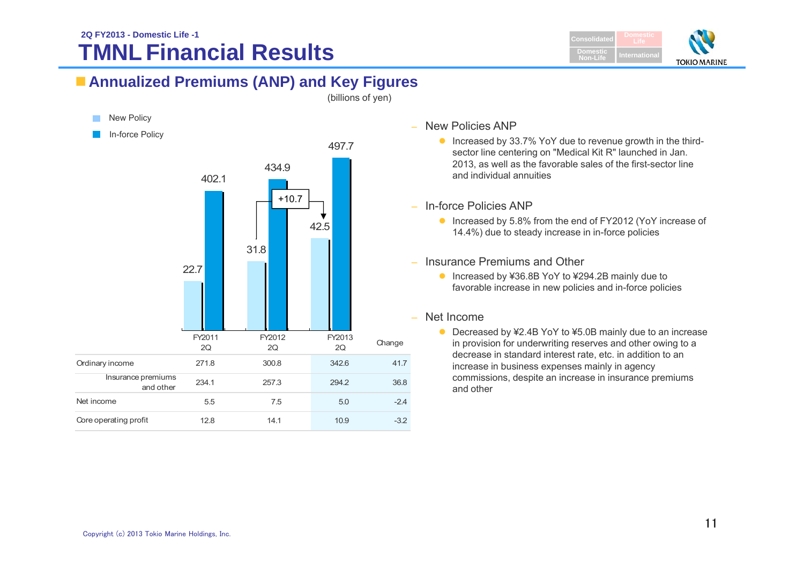#### **TMNL Financial Results 2Q FY2013 - Domestic Life -1Consolidated Consolidated**



## **Annualized Premiums (ANP) and Key Figures**

| New Policy                      |               |                          |              |        |
|---------------------------------|---------------|--------------------------|--------------|--------|
| In-force Policy                 |               |                          | 497.7        |        |
|                                 | 402.1<br>22.7 | 434.9<br>$+10.7$<br>31.8 | 42.5         |        |
|                                 | FY2011<br>2Q  | FY2012<br>2Q             | FY2013<br>2Q | Change |
| Ordinary income                 | 271.8         | 300.8                    | 342.6        | 41.7   |
| Insurance premiums<br>and other | 234.1         | 257.3                    | 294.2        | 36.8   |
| Net income                      | 5.5           | 7.5                      | 5.0          | $-2.4$ |
| Core operating profit           | 12.8          | 14.1                     | 10.9         | $-3.2$ |

(billions of yen)

- New Policies ANP
	- Increased by 33.7% YoY due to revenue growth in the thirdsector line centering on "Medical Kit R" launched in Jan. 2013, as well as the favorable sales of the first-sector line and individual annuities
- In-force Policies ANP
	- Increased by 5.8% from the end of FY2012 (YoY increase of 14.4%) due to steady increase in in-force policies
- Insurance Premiums and Other
	- Increased by ¥36.8B YoY to ¥294.2B mainly due to favorable increase in new policies and in-force policies
- Net Income
	- Decreased by ¥2.4B YoY to ¥5.0B mainly due to an increase in provision for underwriting reserves and other owing to a decrease in standard interest rate, etc. in addition to an increase in business expenses mainly in agency commissions, despite an increase in insurance premiums and other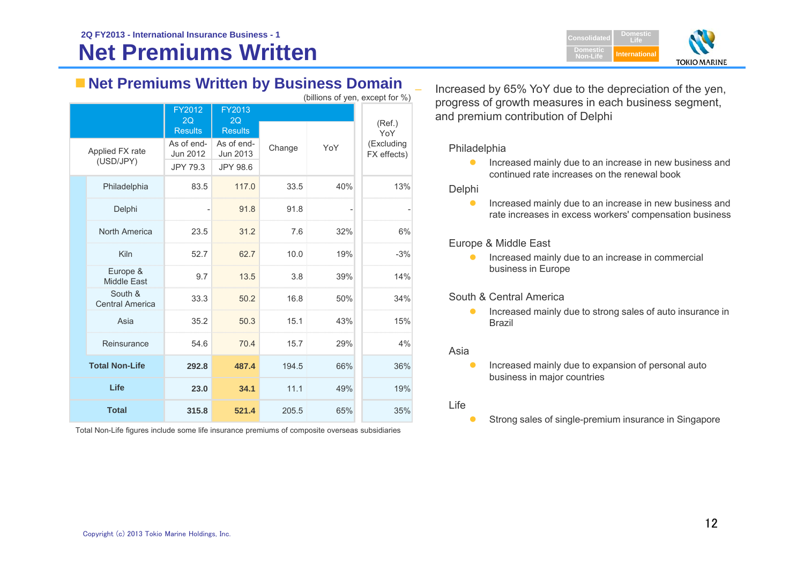| tten                        | Domestic                       | national                                                   | ARINI     |
|-----------------------------|--------------------------------|------------------------------------------------------------|-----------|
| $\mathbf{v}$ . $\mathbf{r}$ | Non-Life                       |                                                            | <b>DM</b> |
|                             | <b>THE REPORT</b><br>018010310 | and the property of the property of<br>Jomestic<br>⊾Life \ |           |

|                                   |                        |                        |        |     | (billions of yen, except for %) |
|-----------------------------------|------------------------|------------------------|--------|-----|---------------------------------|
|                                   | FY2012                 | FY2013                 |        |     |                                 |
|                                   | 2Q<br><b>Results</b>   | 2Q<br><b>Results</b>   |        |     | (Ref.)<br>YoY                   |
| Applied FX rate                   | As of end-<br>Jun 2012 | As of end-<br>Jun 2013 | Change | YoY | (Excluding<br>FX effects)       |
| (USD/JPY)                         | JPY 79.3               | JPY 98.6               |        |     |                                 |
| Philadelphia                      | 83.5                   | 117.0                  | 33.5   | 40% | 13%                             |
| Delphi                            |                        | 91.8                   | 91.8   |     |                                 |
| North America                     | 23.5                   | 31.2                   | 7.6    | 32% | 6%                              |
| Kiln                              | 52.7                   | 62.7                   | 10.0   | 19% | $-3%$                           |
| Europe &<br><b>Middle East</b>    | 9.7                    | 13.5                   | 3.8    | 39% | 14%                             |
| South &<br><b>Central America</b> | 33.3                   | 50.2                   | 16.8   | 50% | 34%                             |
| Asia                              | 35.2                   | 50.3                   | 15.1   | 43% | 15%                             |
| Reinsurance                       | 54.6                   | 70.4                   | 15.7   | 29% | 4%                              |
| <b>Total Non-Life</b>             | 292.8                  | 487.4                  | 194.5  | 66% | 36%                             |
| Life                              | 23.0                   | 34.1                   | 11.1   | 49% | 19%                             |
| <b>Total</b>                      | 315.8                  | 521.4                  | 205.5  | 65% | 35%                             |

**Net Premiums Written by Business Domain** 

Total Non-Life figures include some life insurance premiums of composite overseas subsidiaries

 Increased by 65% YoY due to the depreciation of the yen, progress of growth measures in each business segment, and premium contribution of Delphi

#### Philadelphia

 $\bullet$  Increased mainly due to an increase in new business and continued rate increases on the renewal book

#### Delphi

 $\bullet$  Increased mainly due to an increase in new business and rate increases in excess workers' compensation business

#### Europe & Middle East

 $\bullet$  Increased mainly due to an increase in commercial business in Europe

#### South & Central America

 $\bullet$  Increased mainly due to strong sales of auto insurance in Brazil

#### Asia

 $\bullet$  Increased mainly due to expansion of personal auto business in major countries

#### Life

O Strong sales of single-premium insurance in Singapore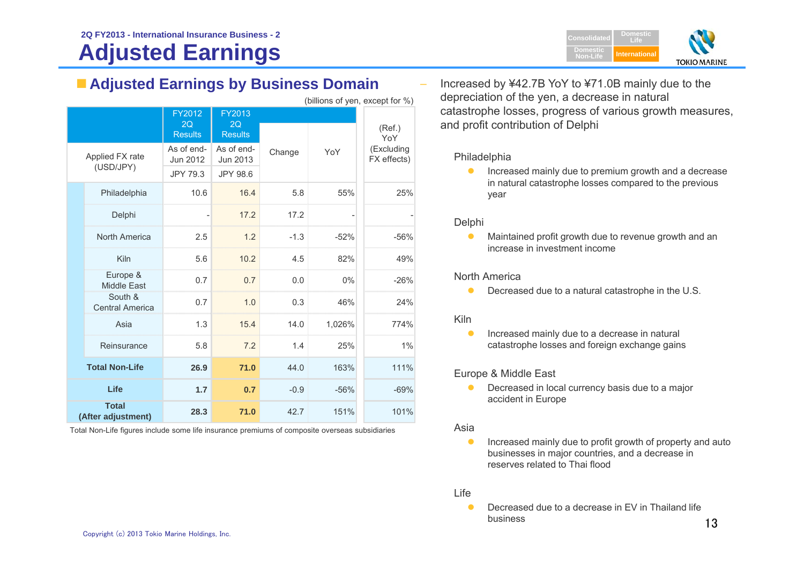# **Adjusted Earnings**

| ⌒ | Consolidated         | Domestic<br>Life  |               |
|---|----------------------|-------------------|---------------|
|   | Domestic<br>Non-Life | Inter<br>national | <b>MARINE</b> |
|   |                      |                   | $\sim$        |

|                                    |                                |                                |        | (billions of yen, except for %) |                           |
|------------------------------------|--------------------------------|--------------------------------|--------|---------------------------------|---------------------------|
|                                    | FY2012<br>2Q<br><b>Results</b> | FY2013<br>2Q<br><b>Results</b> |        |                                 | (Ref.)<br>YoY             |
| Applied FX rate<br>(USD/JPY)       | As of end-<br>Jun 2012         | As of end-<br>Jun 2013         | Change | YoY                             | (Excluding<br>FX effects) |
|                                    | JPY 79.3                       | JPY 98.6                       |        |                                 |                           |
| Philadelphia                       | 10.6                           | 16.4                           | 5.8    | 55%                             | 25%                       |
| Delphi                             |                                | 17.2                           | 17.2   |                                 |                           |
| North America                      | 2.5                            | 1.2                            | $-1.3$ | $-52%$                          | $-56%$                    |
| Kiln                               | 5.6                            | 10.2                           | 4.5    | 82%                             | 49%                       |
| Europe &<br><b>Middle East</b>     | 0.7                            | 0.7                            | 0.0    | 0%                              | $-26%$                    |
| South &<br><b>Central America</b>  | 0.7                            | 1.0                            | 0.3    | 46%                             | 24%                       |
| Asia                               | 1.3                            | 15.4                           | 14.0   | 1,026%                          | 774%                      |
| Reinsurance                        | 5.8                            | 7.2                            | 1.4    | 25%                             | 1%                        |
| <b>Total Non-Life</b>              | 26.9                           | 71.0                           | 44.0   | 163%                            | 111%                      |
| Life                               | 1.7                            | 0.7                            | $-0.9$ | $-56%$                          | $-69%$                    |
| <b>Total</b><br>(After adjustment) | 28.3                           | 71.0                           | 42.7   | 151%                            | 101%                      |

Total Non-Life figures include some life insurance premiums of composite overseas subsidiaries

■ Adjusted Earnings by Business Domain **– Increased by ¥42.7B YoY to ¥71.0B mainly due to the** depreciation of the yen, a decrease in natural catastrophe losses, progress of various growth measures, and profit contribution of Delphi

#### Philadelphia

 $\bullet$  Increased mainly due to premium growth and a decrease in natural catastrophe losses compared to the previous year

#### Delphi

 $\bullet$  Maintained profit growth due to revenue growth and an increase in investment income

#### North America

O Decreased due to a natural catastrophe in the U.S.

#### Kiln

 $\bullet$  Increased mainly due to a decrease in natural catastrophe losses and foreign exchange gains

#### Europe & Middle East

**•** Decreased in local currency basis due to a major accident in Europe

#### Asia

 $\bullet$  Increased mainly due to profit growth of property and auto businesses in major countries, and a decrease in reserves related to Thai flood

#### Life

 $\bullet$  Decreased due to a decrease in EV in Thailand life business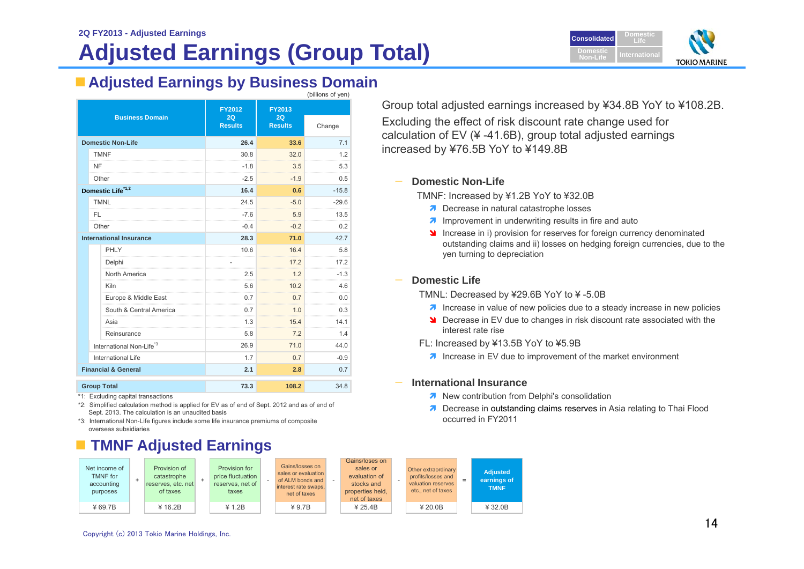

#### **Adjusted Earnings by Business Domain**  $(hillions of von)$

|                                |                                      | FY2012               | <b>FY2013</b>        |         |
|--------------------------------|--------------------------------------|----------------------|----------------------|---------|
|                                | <b>Business Domain</b>               | 2Q<br><b>Results</b> | 2Q<br><b>Results</b> | Change  |
|                                | <b>Domestic Non-Life</b>             | 26.4                 | 33.6                 | 7.1     |
|                                | <b>TMNF</b>                          | 30.8                 | 32.0                 | 1.2     |
|                                | <b>NF</b>                            | $-1.8$               | 3.5                  | 5.3     |
|                                | Other                                | $-2.5$               | $-1.9$               | 0.5     |
|                                | Domestic Life <sup>*1,2</sup>        | 16.4                 | 0.6                  | $-15.8$ |
|                                | <b>TMNL</b>                          | 24.5                 | $-5.0$               | $-29.6$ |
|                                | FL.                                  | $-7.6$               | 5.9                  | 13.5    |
|                                | Other                                | $-0.4$               | $-0.2$               | 0.2     |
| <b>International Insurance</b> |                                      | 28.3                 | 71.0                 | 42.7    |
|                                | PHLY                                 | 10.6                 | 16.4                 | 5.8     |
|                                | Delphi                               |                      | 17.2                 | 17.2    |
|                                | North America                        | 2.5                  | 1.2                  | $-1.3$  |
|                                | Kiln                                 | 5.6                  | 10.2                 | 4.6     |
|                                | Europe & Middle East                 | 0.7                  | 07                   | 0.0     |
|                                | South & Central America              | 0.7                  | 1.0                  | 0.3     |
|                                | Asia                                 | 1.3                  | 15.4                 | 141     |
|                                | Reinsurance                          | 5.8                  | 7.2                  | 1.4     |
|                                | International Non-Life <sup>*3</sup> | 26.9                 | 71.0                 | 44.0    |
|                                | <b>International Life</b>            | 1.7                  | 0.7                  | $-0.9$  |
|                                | <b>Financial &amp; General</b>       | 2.1                  | 2.8                  | 0.7     |

 **Group Total 73.3 108.2** 34.8

\*1: Excluding capital transactions

\*2: Simplified calculation method is applied for EV as of end of Sept. 2012 and as of end of Sept. 2013. The calculation is an unaudited basis

\*3: International Non-Life figures include some life insurance premiums of composite overseas subsidiaries

## **TMNF Adjusted Earnings**



Group total adjusted earnings increased by ¥34.8B YoY to ¥108.2B. Excluding the effect of risk discount rate change used for calculation of EV (¥ -41.6B), group total adjusted earnings increased by ¥76.5B YoY to ¥149.8B

#### **Domestic Non-Life**

TMNF: Increased by ¥1.2B YoY to ¥32.0B

- Decrease in natural catastrophe losses
- $\lambda$  Improvement in underwriting results in fire and auto
- Increase in i) provision for reserves for foreign currency denominated outstanding claims and ii) losses on hedging foreign currencies, due to the yen turning to depreciation

#### **Domestic Life**

TMNL: Decreased by ¥29.6B YoY to ¥ -5.0B

- **7** Increase in value of new policies due to a steady increase in new policies
- **N** Decrease in EV due to changes in risk discount rate associated with the interest rate rise
- FL: Increased by ¥13.5B YoY to ¥5.9B
	- $\lambda$  Increase in EV due to improvement of the market environment

#### **International Insurance**

- **A** New contribution from Delphi's consolidation
- **7** Decrease in outstanding claims reserves in Asia relating to Thai Flood occurred in FY2011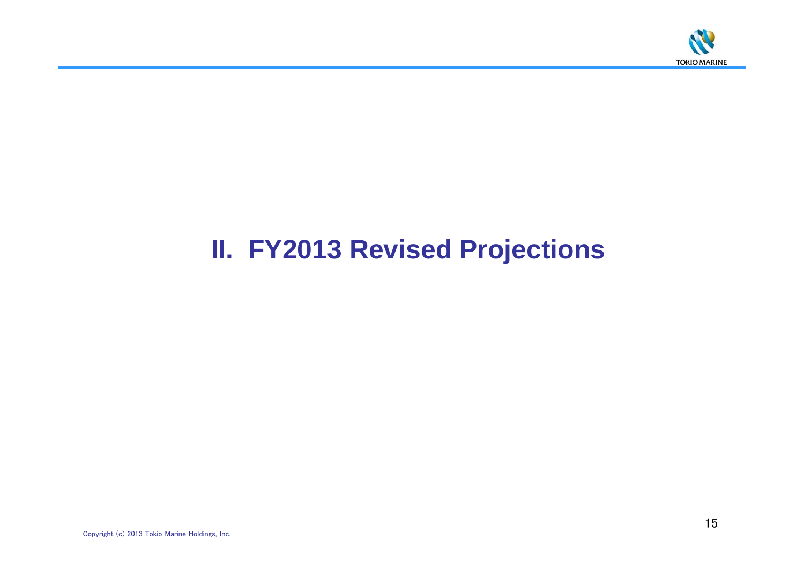

# **II. FY2013 Revised Projections**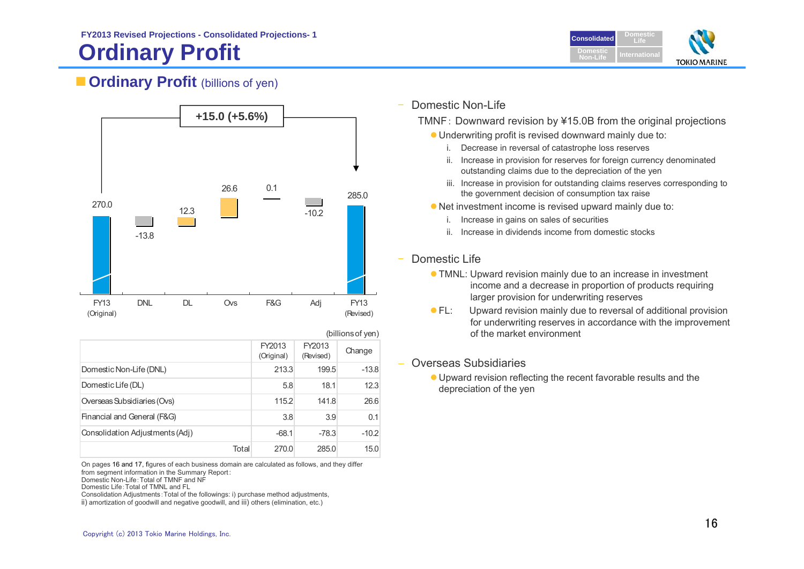# **Ordinary Profit Internation Internation**

**DomesticConsolidatedLifeDomesticNon-LifeTOKIO MARINE** 

## **Cordinary Profit** (billions of yen)



|                                 | (billions of yen) |                      |                     |         |  |
|---------------------------------|-------------------|----------------------|---------------------|---------|--|
|                                 |                   | FY2013<br>(Original) | FY2013<br>(Revised) | Change  |  |
| Domestic Non-Life (DNL)         |                   | 213.3                | 199.5               | $-13.8$ |  |
| Domestic Life (DL)              |                   | 5.8                  | 18.1                | 12.3    |  |
| Overseas Subsidiaries (Ovs)     |                   | 115.2                | 141.8               | 26.6    |  |
| Financial and General (F&G)     |                   | 3.8                  | 3.9                 | 0.1     |  |
| Consolidation Adjustments (Adj) |                   | $-68.1$              | $-78.3$             | $-10.2$ |  |
|                                 | Total             | 270.0                | 285.0               | 15.0    |  |

On pages 16 and 17, figures of each business domain are calculated as follows, and they differ from segment information in the Summary Report:

Domestic Non-Life:Total of TMNF and NF

Domestic Life:Total of TMNL and FL

Consolidation Adjustments:Total of the followings: i) purchase method adjustments,

ii) amortization of goodwill and negative goodwill, and iii) others (elimination, etc.)

Domestic Non-Life

TMNF: Downward revision by ¥15.0B from the original projections

- Underwriting profit is revised downward mainly due to:
	- i. Decrease in reversal of catastrophe loss reserves
	- ii. Increase in provision for reserves for foreign currency denominated outstanding claims due to the depreciation of the yen
	- iii. Increase in provision for outstanding claims reserves corresponding to the government decision of consumption tax raise
- Net investment income is revised upward mainly due to:
	- i. Increase in gains on sales of securities
	- ii. Increase in dividends income from domestic stocks

### Domestic Life

- TMNL: Upward revision mainly due to an increase in investment income and a decrease in proportion of products requiring larger provision for underwriting reserves
- $\bullet$  FL: Upward revision mainly due to reversal of additional provision for underwriting reserves in accordance with the improvement of the market environment

### Overseas Subsidiaries

 Upward revision reflecting the recent favorable results and the depreciation of the yen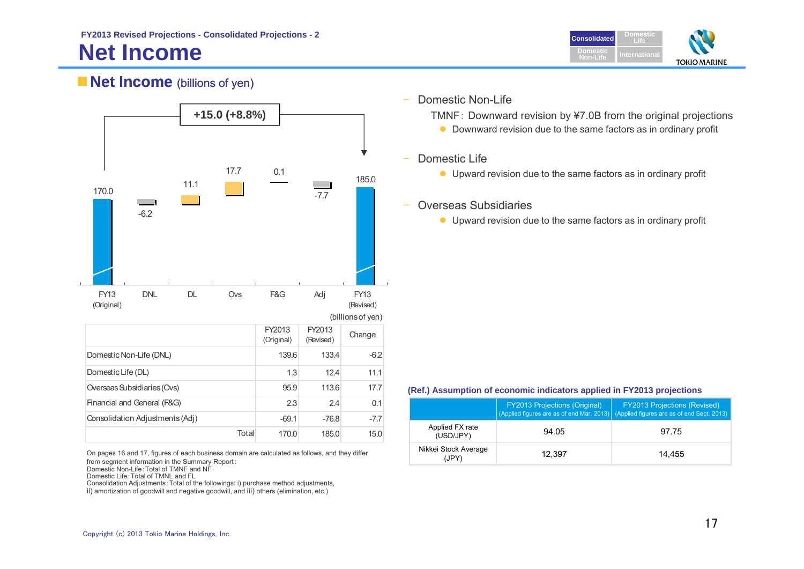## **Net Income**



## **Net Income** (billions of yen)



On pages 16 and 17, figures of each business domain are calculated as follows, and they differ from segment information in the Summary Report:

Domestic Non-Life:Total of TMNF and NF

Domestic Life:Total of TMNL and FL

Consolidation Adjustments:Total of the followings: i) purchase method adjustments,

ii) amortization of goodwill and negative goodwill, and iii) others (elimination, etc.)

 $\sim$ Domestic Non-Life

TMNF: Downward revision by ¥7.0B from the original projections

- **•** Downward revision due to the same factors as in ordinary profit
- Domestic Life
	- Upward revision due to the same factors as in ordinary profit
- Overseas Subsidiaries
	- Upward revision due to the same factors as in ordinary profit

#### **(Ref.) Assumption of economic indicators applied in FY2013 projections**

|                               | <b>FY2013 Projections (Original)</b> | <b>FY2013 Projections (Revised)</b><br>(Applied figures are as of end Mar. 2013) (Applied figures are as of end Sept. 2013) |
|-------------------------------|--------------------------------------|-----------------------------------------------------------------------------------------------------------------------------|
| Applied FX rate<br>(USD/JPY)  | 94.05                                | 97.75                                                                                                                       |
| Nikkei Stock Average<br>(JPY) | 12.397                               | 14.455                                                                                                                      |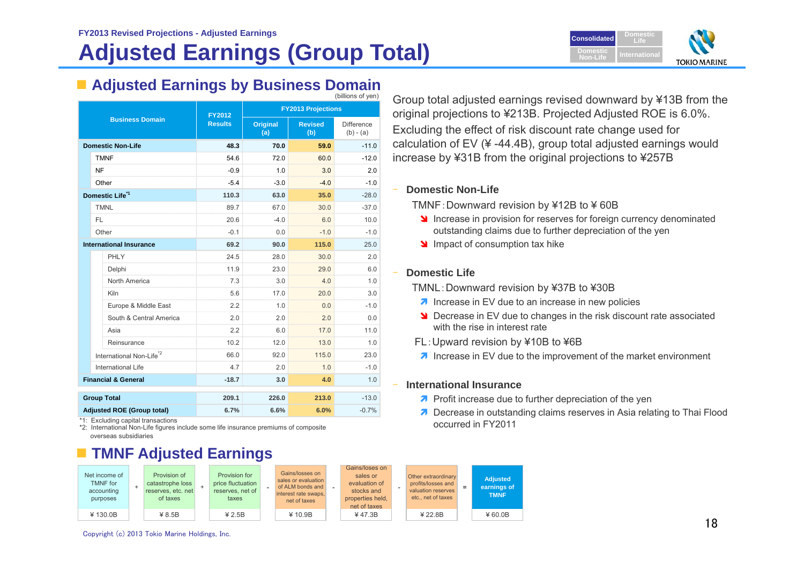

#### **Adjusted Earnings by Business Domain** (billions of yen)

|                                |                                      | <b>FY2012</b>  |                        | <b>FY2013 Projections</b> |                                  |
|--------------------------------|--------------------------------------|----------------|------------------------|---------------------------|----------------------------------|
|                                | <b>Business Domain</b>               | <b>Results</b> | <b>Original</b><br>(a) | <b>Revised</b><br>(b)     | <b>Difference</b><br>$(b) - (a)$ |
|                                | <b>Domestic Non-Life</b>             | 48.3           | 70.0                   | 59.0                      | $-11.0$                          |
|                                | <b>TMNF</b>                          | 54.6           | 72.0                   | 60.0                      | $-12.0$                          |
|                                | NF                                   | $-0.9$         | 1.0                    | 3.0                       | 2.0                              |
|                                | Other                                | $-5.4$         | $-3.0$                 | $-4.0$                    | $-1.0$                           |
| Domestic Life*1                |                                      | 110.3          | 63.0                   | 35.0                      | $-28.0$                          |
|                                | <b>TMNL</b>                          | 89.7           | 67.0                   | 30.0                      | $-37.0$                          |
|                                | FL.                                  | 20.6           | $-40$                  | 6.0                       | 10.0                             |
|                                | Other                                | $-0.1$         | 0.0                    | $-1.0$                    | $-1.0$                           |
| <b>International Insurance</b> |                                      | 69.2           | 90.0                   | 115.0                     | 25.0                             |
|                                | PHLY                                 | 24.5           | 28.0                   | 30.0                      | 2.0                              |
|                                | Delphi                               | 11.9           | 23.0                   | 29.0                      | 6.0                              |
|                                | North America                        | 7.3<br>.       | 3.0<br>.               | 4 0                       | 1.0                              |
|                                | Kiln                                 | 5.6            | 17.0                   | 20.0                      | 3.0                              |
|                                | Europe & Middle East                 | 2.2            | 1.0                    | 0.0                       | $-1.0$                           |
|                                | South & Central America              | 2.0            | 2.0                    | 2.0                       | 0.0                              |
|                                | Asia                                 | 2.2            | 6.0                    | 17.0                      | 11.0                             |
|                                | Reinsurance                          | 10.2           | 12.0                   | 13.0                      | 1.0                              |
|                                | International Non-Life <sup>*2</sup> | 66.0           | 92.0                   | 115.0                     | 23.0                             |
|                                | International Life                   | 4.7            | 2.0                    | 1.0                       | $-1.0$                           |
|                                | <b>Financial &amp; General</b>       | $-18.7$        | 3.0                    | 4.0                       | 1.0                              |
|                                | <b>Group Total</b>                   | 209.1          | 226.0                  | 213.0                     | $-13.0$                          |
|                                | <b>Adjusted ROE (Group total)</b>    | 6.7%           | 6.6%                   | 6.0%                      | $-0.7%$                          |

\*1: Excluding capital transactions

\*2: International Non-Life figures include some life insurance premiums of composite overseas subsidiaries

## **TMNF Adjusted Earnings**

| Net income of<br><b>TMNF</b> for<br>accounting<br>purposes | Provision of<br>catastrophe loss<br>reserves, etc. net<br>of taxes | Provision for<br>price fluctuation<br>reserves, net of<br>taxes | Gains/losses on<br>sales or evaluation<br>of ALM bonds and<br>interest rate swaps.<br>net of taxes | Gains/loses on<br>sales or<br>evaluation of<br>stocks and<br>properties held,<br>net of taxes | Other extraordinary<br>profits/losses and<br>valuation reserves<br>etc., net of taxes | Adjuster<br>earnings<br><b>TMNF</b> |
|------------------------------------------------------------|--------------------------------------------------------------------|-----------------------------------------------------------------|----------------------------------------------------------------------------------------------------|-----------------------------------------------------------------------------------------------|---------------------------------------------------------------------------------------|-------------------------------------|
| ¥ 130.0B                                                   | ¥ 8.5B                                                             | ¥ 2.5B                                                          | ¥ 10.9B                                                                                            | $¥$ 47.3B                                                                                     | ¥ 22.8B                                                                               | ¥ 60.0B                             |

Group total adjusted earnings revised downward by ¥13B from the original projections to ¥213B. Projected Adjusted ROE is 6.0%.

Excluding the effect of risk discount rate change used for calculation of EV (¥ -44.4B), group total adjusted earnings would increase by ¥31B from the original projections to ¥257B

#### **Domestic Non-Life**

TMNF:Downward revision by ¥12B to ¥ 60B

- **If** Increase in provision for reserves for foreign currency denominated outstanding claims due to further depreciation of the yen
- Impact of consumption tax hike

#### **Domestic Life**

TMNL:Downward revision by ¥37B to ¥30B

- $\lambda$  Increase in EV due to an increase in new policies
- **N** Decrease in EV due to changes in the risk discount rate associated with the rise in interest rate
- FL:Upward revision by ¥10B to ¥6B

**Adjusted earnings of TMNF**

**7** Increase in EV due to the improvement of the market environment

#### **International Insurance**

- $\lambda$  Profit increase due to further depreciation of the yen
- **7** Decrease in outstanding claims reserves in Asia relating to Thai Flood occurred in FY2011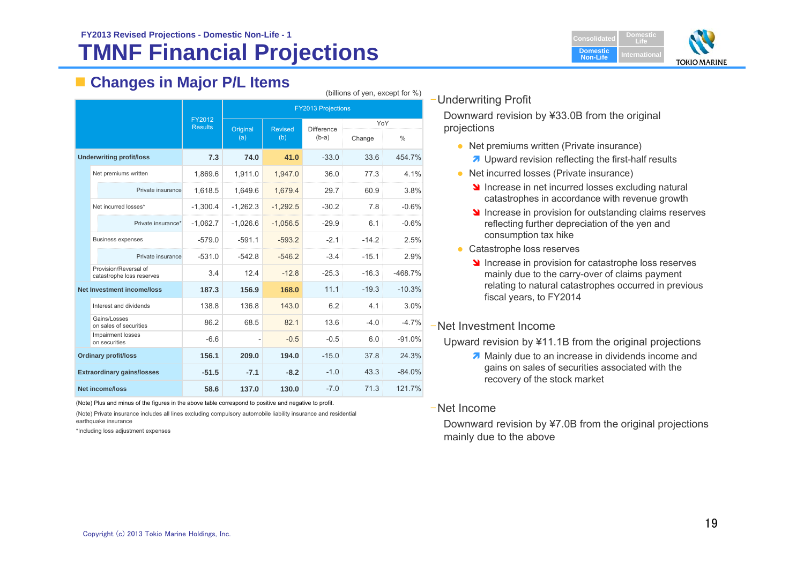## **TMNF Financial Projections FY2013 Revised Projections - Domestic Non-Life - 1**



# **Changes in Major P/L Items** (billions of yen, except for %)

|                                                    |                          |            |                | <b>FY2013 Projections</b> |         |               |
|----------------------------------------------------|--------------------------|------------|----------------|---------------------------|---------|---------------|
|                                                    | FY2012<br><b>Results</b> | Original   | <b>Revised</b> | <b>Difference</b>         | YoY     |               |
|                                                    |                          | (a)        | (b)            | $(b-a)$                   | Change  | $\frac{0}{0}$ |
| <b>Underwriting profit/loss</b>                    | 7.3                      | 74.0       | 41.0           | $-33.0$                   | 33.6    | 454.7%        |
| Net premiums written                               | 1,869.6                  | 1,911.0    | 1,947.0        | 36.0                      | 77.3    | 4.1%          |
| Private insurance                                  | 1,618.5                  | 1,649.6    | 1,679.4        | 29.7                      | 60.9    | 3.8%          |
| Net incurred losses*                               | $-1,300.4$               | $-1,262.3$ | $-1,292.5$     | $-30.2$                   | 7.8     | $-0.6%$       |
| Private insurance*                                 | $-1,062.7$               | $-1,026.6$ | $-1,056.5$     | $-29.9$                   | 6.1     | $-0.6%$       |
| <b>Business expenses</b>                           | $-579.0$                 | $-591.1$   | $-593.2$       | $-2.1$                    | $-142$  | 2.5%          |
| Private insurance                                  | $-531.0$                 | $-542.8$   | $-546.2$       | $-3.4$                    | $-15.1$ | 2.9%          |
| Provision/Reversal of<br>catastrophe loss reserves | 3.4                      | 12.4       | $-12.8$        | $-25.3$                   | $-16.3$ | $-468.7%$     |
| <b>Net Investment income/loss</b>                  | 187.3                    | 156.9      | 168.0          | 11.1                      | $-19.3$ | $-10.3%$      |
| Interest and dividends                             | 138.8                    | 136.8      | 143.0          | 6.2                       | 4.1     | 3.0%          |
| Gains/Losses<br>on sales of securities             | 86.2                     | 68.5       | 82.1           | 13.6                      | $-4.0$  | $-4.7%$       |
| Impairment losses<br>on securities                 | $-6.6$                   |            | $-0.5$         | $-0.5$                    | 6.0     | $-91.0%$      |
| <b>Ordinary profit/loss</b>                        | 156.1                    | 209.0      | 194.0          | $-15.0$                   | 37.8    | 24.3%         |
| <b>Extraordinary gains/losses</b>                  | $-51.5$                  | $-7.1$     | $-8.2$         | $-1.0$                    | 43.3    | $-84.0%$      |
| <b>Net income/loss</b>                             | 58.6                     | 137.0      | 130.0          | $-7.0$                    | 71.3    | 121.7%        |

(Note) Plus and minus of the figures in the above table correspond to positive and negative to profit.

(Note) Private insurance includes all lines excluding compulsory automobile liability insurance and residential earthquake insurance

\*Including loss adjustment expenses

### –Underwriting Profit

Downward revision by ¥33.0B from the original projections

- Net premiums written (Private insurance)
	- **7** Upward revision reflecting the first-half results
- Net incurred losses (Private insurance)
	- Increase in net incurred losses excluding natural catastrophes in accordance with revenue growth
	- Increase in provision for outstanding claims reserves reflecting further depreciation of the yen and consumption tax hike
- Catastrophe loss reserves
	- Increase in provision for catastrophe loss reserves mainly due to the carry-over of claims payment relating to natural catastrophes occurred in previous fiscal years, to FY2014

#### –Net Investment Income

Upward revision by ¥11.1B from the original projections

Mainly due to an increase in dividends income and gains on sales of securities associated with the recovery of the stock market

#### –Net Income

Downward revision by ¥7.0B from the original projections mainly due to the above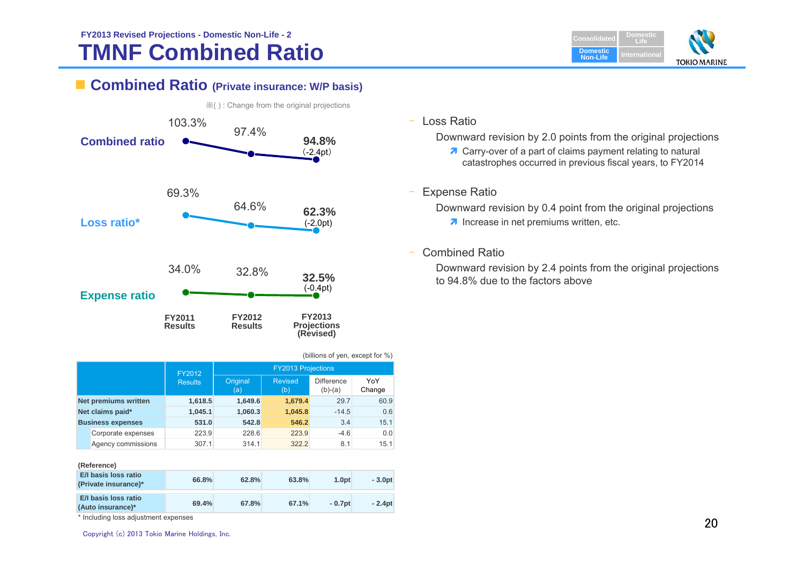

### **Combined Ratio (Private insurance: W/P basis)**



| (billions of yen, except for %) |  |  |  |  |  |  |  |  |
|---------------------------------|--|--|--|--|--|--|--|--|
|---------------------------------|--|--|--|--|--|--|--|--|

|                             | FY2012         |                 | <b>FY2013 Projections</b> |                                |               |
|-----------------------------|----------------|-----------------|---------------------------|--------------------------------|---------------|
|                             | <b>Results</b> | Original<br>(a) | <b>Revised</b><br>(b)     | <b>Difference</b><br>$(b)-(a)$ | YoY<br>Change |
| <b>Net premiums written</b> | 1,618.5        | 1,649.6         | 1.679.4                   | 29.7                           | 60.9          |
| Net claims paid*            | 1.045.1        | 1,060.3         | 1,045.8                   | $-14.5$                        | 0.6           |
| <b>Business expenses</b>    | 531.0          | 542.8           | 546.2                     | 3.4                            | 15.1          |
| Corporate expenses          | 223.9          | 228.6           | 223.9                     | $-46$                          | 0.0           |
| Agency commissions          | 307.1          | 314.1           | 322.2                     | 8.1                            | 15.1          |

| (Reference) |  |
|-------------|--|
|             |  |

| E/I basis loss ratio<br>(Private insurance)* | 66.8% | 62.8% | 63.8% | 1.0 <sub>pt</sub> | $-3.0pt$ |
|----------------------------------------------|-------|-------|-------|-------------------|----------|
| E/I basis loss ratio<br>(Auto insurance)*    | 69.4% | 67.8% | 67.1% | $-0.7$ pt         | $-2.4pt$ |

\* Including loss adjustment expenses

#### – Loss Ratio

Downward revision by 2.0 points from the original projections

- **7** Carry-over of a part of claims payment relating to natural catastrophes occurred in previous fiscal years, to FY2014
- Expense Ratio

Downward revision by 0.4 point from the original projections

 $\lambda$  Increase in net premiums written, etc.

#### –Combined Ratio

Downward revision by 2.4 points from the original projections to 94.8% due to the factors above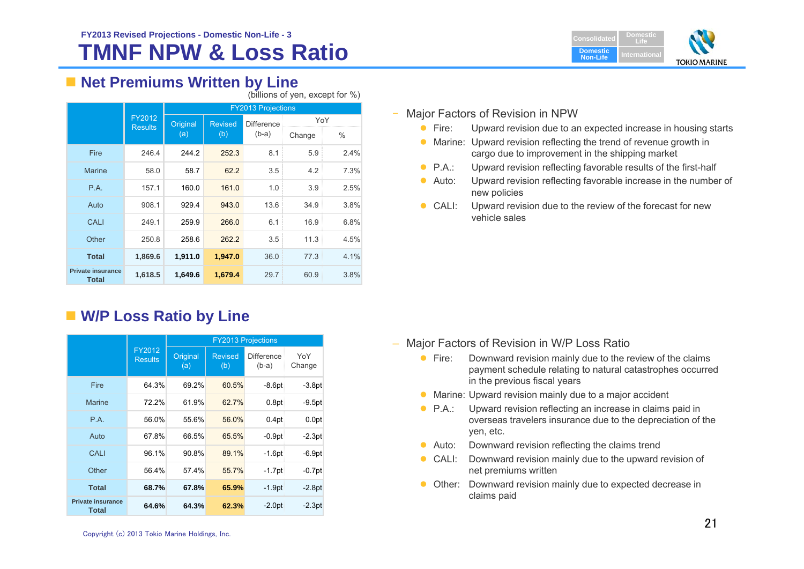# **TMNF NPW & Loss Ratio**



#### ■ Net Premiums Written by Line (billions of yen, except for %)

|                                   |                          |                            | <b>FY2013 Projections</b> |                   |        |      |
|-----------------------------------|--------------------------|----------------------------|---------------------------|-------------------|--------|------|
|                                   | FY2012<br><b>Results</b> | Original<br><b>Revised</b> |                           | <b>Difference</b> | YoY    |      |
|                                   |                          | (a)                        | (b)                       | $(b-a)$           | Change | $\%$ |
| Fire                              | 246.4                    | 244.2                      | 252.3                     | 8.1               | 5.9    | 2.4% |
| <b>Marine</b>                     | 58.0                     | 58.7                       | 62.2                      | 3.5               | 4.2    | 7.3% |
| P.A.                              | 157.1                    | 160.0                      | 161.0                     | 1.0               | 3.9    | 2.5% |
| Auto                              | 908.1                    | 929.4                      | 943.0                     | 13.6              | 34.9   | 3.8% |
| CALI                              | 249.1                    | 259.9                      | 266.0                     | 6.1               | 16.9   | 6.8% |
| Other                             | 250.8                    | 258.6                      | 262.2                     | 3.5               | 11.3   | 4.5% |
| <b>Total</b>                      | 1,869.6                  | 1,911.0                    | 1,947.0                   | 36.0              | 77.3   | 4.1% |
| <b>Private insurance</b><br>Total | 1,618.5                  | 1,649.6                    | 1,679.4                   | 29.7              | 60.9   | 3.8% |

## **W/P Loss Ratio by Line**

|                                          |                                                                                         |                 | <b>FY2013 Projections</b> |                              |               |
|------------------------------------------|-----------------------------------------------------------------------------------------|-----------------|---------------------------|------------------------------|---------------|
|                                          | FY2012<br><b>Results</b><br>64.3%<br>72.2%<br>56.0%<br>67.8%<br>96.1%<br>56.4%<br>68.7% | Original<br>(a) | <b>Revised</b><br>(b)     | <b>Difference</b><br>$(b-a)$ | YoY<br>Change |
| Fire                                     |                                                                                         | 69.2%           | 60.5%                     | -8.6pt                       | $-3.8pt$      |
| Marine                                   |                                                                                         | 61.9%           | 62.7%                     | 0.8pt                        | $-9.5pt$      |
| P.A.                                     |                                                                                         | 55.6%           | 56.0%                     | 0.4pt                        | 0.0pt         |
| Auto                                     |                                                                                         | 66.5%           | 65.5%                     | $-0.9pt$                     | $-2.3pt$      |
| CALI                                     |                                                                                         | 90.8%           | 89.1%                     | -1.6pt                       | $-6.9pt$      |
| Other                                    |                                                                                         | 57.4%           | 55.7%                     | $-1.7$ pt                    | $-0.7$ pt     |
| <b>Total</b>                             |                                                                                         | 67.8%           | 65.9%                     | $-1.9pt$                     | -2.8pt        |
| <b>Private insurance</b><br><b>Total</b> | 64.6%                                                                                   | 64.3%           | 62.3%                     | $-2.0pt$                     | -2.3pt        |

#### Major Factors of Revision in NPW

- $\bullet$  Fire: Upward revision due to an expected increase in housing starts
- **Marine: Upward revision reflecting the trend of revenue growth in** cargo due to improvement in the shipping market
- $\bullet$  P.A.: Upward revision reflecting favorable results of the first-half
- $\bullet$  Auto: Upward revision reflecting favorable increase in the number of new policies
- $\bullet$  CALI: Upward revision due to the review of the forecast for new vehicle sales

- Major Factors of Revision in W/P Loss Ratio
	- $\bullet$  Fire: Downward revision mainly due to the review of the claims payment schedule relating to natural catastrophes occurred in the previous fiscal years
	- **Marine: Upward revision mainly due to a major accident**
	- P.A.: Upward revision reflecting an increase in claims paid in overseas travelers insurance due to the depreciation of the yen, etc.
	- Auto: Downward revision reflecting the claims trend
	- CALI: Downward revision mainly due to the upward revision of net premiums written
	- **O** Other: Downward revision mainly due to expected decrease in claims paid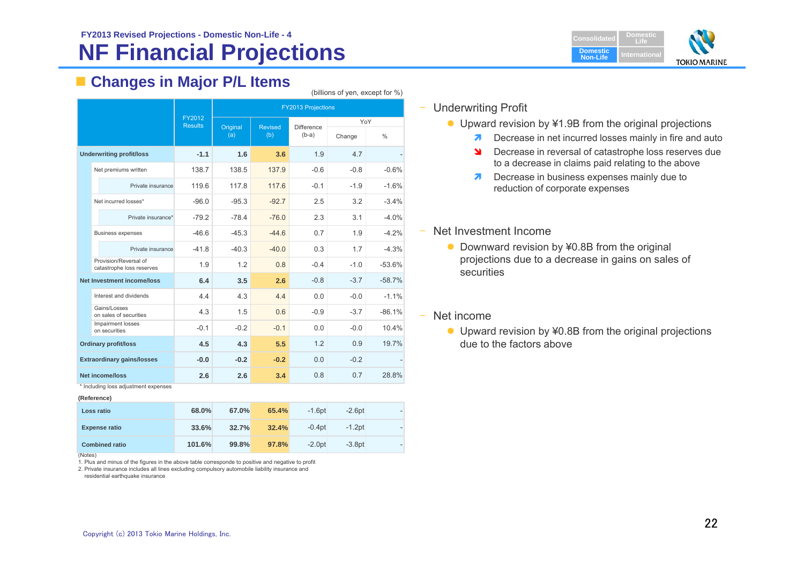# **NF Financial Projections**



## **Changes in Major P/L Items**

|                             |                                                    |                                 | <b>FY2013 Projections</b> |                |                   |        |               |  |  |  |
|-----------------------------|----------------------------------------------------|---------------------------------|---------------------------|----------------|-------------------|--------|---------------|--|--|--|
|                             |                                                    | <b>FY2012</b><br><b>Results</b> | Original                  | <b>Revised</b> | <b>Difference</b> | YoY    |               |  |  |  |
|                             |                                                    |                                 | (a)                       | (b)            | $(b-a)$           | Change | $\frac{0}{0}$ |  |  |  |
|                             | <b>Underwriting profit/loss</b>                    | $-1.1$                          | 1.6                       | 3.6            | 1.9               | 4.7    |               |  |  |  |
|                             | Net premiums written                               | 138.7                           | 138.5                     | 137.9          | $-0.6$            | $-0.8$ | $-0.6%$       |  |  |  |
|                             | Private insurance                                  | 119.6                           | 117.8                     | 117.6          | $-0.1$            | $-1.9$ | $-1.6%$       |  |  |  |
|                             | Net incurred losses*                               | $-96.0$                         | $-95.3$                   | $-92.7$        | 2.5               | 3.2    | $-3.4%$       |  |  |  |
|                             | Private insurance*                                 | $-79.2$                         | $-78.4$                   | $-76.0$        | 2.3               | 3.1    | $-4.0%$       |  |  |  |
|                             | <b>Business expenses</b>                           | $-46.6$                         | $-45.3$                   | $-44.6$        | 0.7               | 1.9    | $-4.2%$       |  |  |  |
|                             | Private insurance                                  | $-41.8$                         | $-40.3$                   | $-40.0$        | 0.3               | 1.7    | $-4.3%$       |  |  |  |
|                             | Provision/Reversal of<br>catastrophe loss reserves | 1.9                             | 1.2                       | 0.8            | $-0.4$            | $-1.0$ | $-53.6%$      |  |  |  |
|                             | Net Investment income/loss                         | 6.4                             | 3.5                       | 2.6            | $-0.8$            | $-3.7$ | $-58.7%$      |  |  |  |
|                             | Interest and dividends                             | 4.4                             | 4.3                       | 4.4            | 0.0               | $-0.0$ | $-1.1%$       |  |  |  |
|                             | Gains/Losses<br>on sales of securities             | 4.3                             | 1.5                       | 0.6            | $-0.9$            | $-3.7$ | $-86.1%$      |  |  |  |
|                             | Impairment losses<br>on securities                 | $-0.1$                          | $-0.2$                    | $-0.1$         | 0.0               | $-0.0$ | 10.4%         |  |  |  |
| <b>Ordinary profit/loss</b> |                                                    | 4.5                             | 4.3                       | 5.5            | 1.2               | 0.9    | 19.7%         |  |  |  |
|                             | <b>Extraordinary gains/losses</b>                  | $-0.0$                          | $-0.2$                    | $-0.2$         | 0.0               | $-0.2$ |               |  |  |  |
| <b>Net income/loss</b>      |                                                    | 2.6                             | 2.6                       | 3.4            | 0.8               | 0.7    | 28.8%         |  |  |  |

\* Including loss adjustment expenses

| (Reference)           |        |       |       |           |           |  |
|-----------------------|--------|-------|-------|-----------|-----------|--|
| Loss ratio            | 68.0%  | 67.0% | 65.4% | $-1.6$ pt | $-2.6$ pt |  |
| <b>Expense ratio</b>  | 33.6%  | 32.7% | 32.4% | $-0.4$ pt | $-1.2pt$  |  |
| <b>Combined ratio</b> | 101.6% | 99.8% | 97.8% | $-2.0pt$  | $-3.8pt$  |  |

(Notes)

1. Plus and minus of the figures in the above table corresponde to positive and negative to profit

2. Private insurance includes all lines excluding compulsory automobile liability insurance and

residential earthquake insurance

### – Underwriting Profit

(billions of yen, except for %)

- Upward revision by ¥1.9B from the original projections
	- $\overline{\mathbf{z}}$ Decrease in net incurred losses mainly in fire and auto
	- $\mathbf{M}$  Decrease in reversal of catastrophe loss reserves due to a decrease in claims paid relating to the above
	- **Decrease in business expenses mainly due to** reduction of corporate expenses
- Net Investment Income
	- Downward revision by ¥0.8B from the original projections due to a decrease in gains on sales of securities
- Net income
	- Upward revision by ¥0.8B from the original projections due to the factors above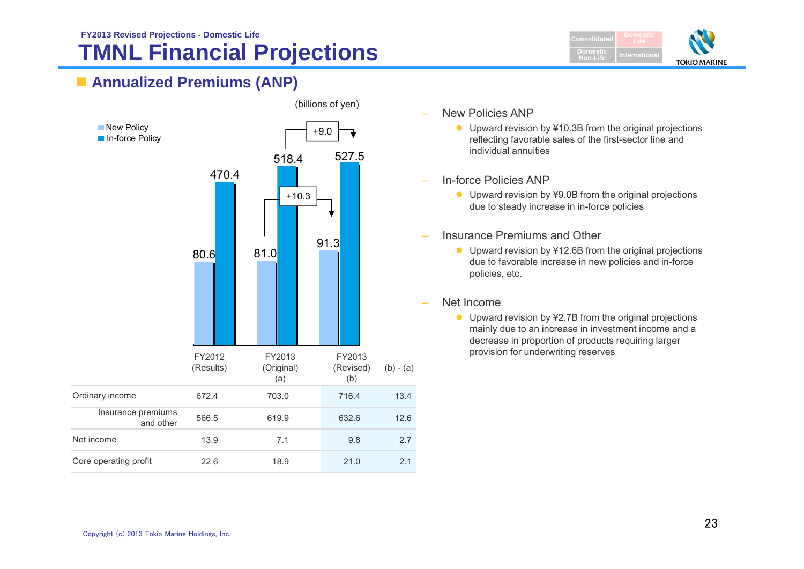## **TMNL Financial Projections FY2013 Revised Projections - Domestic Life**







- New Policies ANP
	- Upward revision by ¥10.3B from the original projections reflecting favorable sales of the first-sector line and individual annuities
- In-force Policies ANP
	- Upward revision by ¥9.0B from the original projections due to steady increase in in-force policies
- Insurance Premiums and Other
	- Upward revision by ¥12.6B from the original projections due to favorable increase in new policies and in-force policies, etc.
- Net Income
	- Upward revision by ¥2.7B from the original projections mainly due to an increase in investment income and a decrease in proportion of products requiring larger provision for underwriting reserves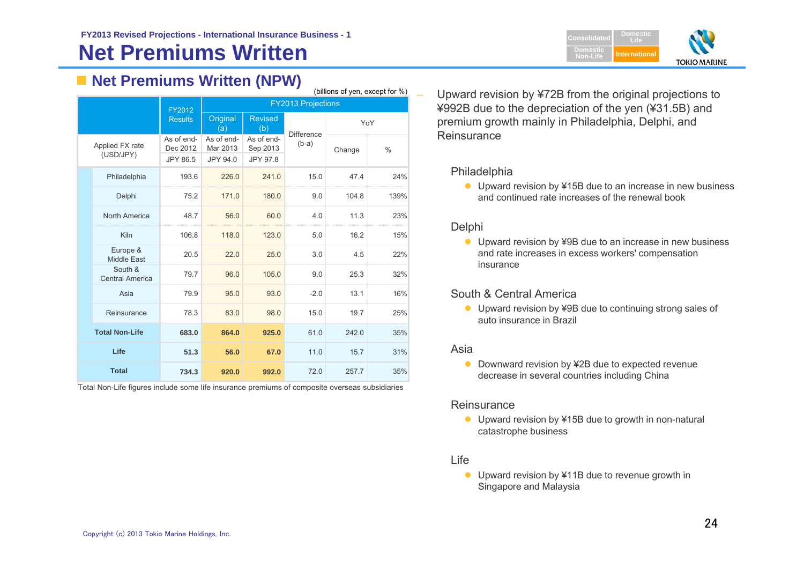# **Net Premiums Written**

## **Net Premiums Written (NPW)**

|                                   |                        |                           |                        | ,                 | (billions of yen, except for %) |               |  |  |  |  |  |
|-----------------------------------|------------------------|---------------------------|------------------------|-------------------|---------------------------------|---------------|--|--|--|--|--|
|                                   | FY2012                 | <b>FY2013 Projections</b> |                        |                   |                                 |               |  |  |  |  |  |
|                                   | <b>Results</b>         | Original<br>(a)           | <b>Revised</b><br>(b)  | <b>Difference</b> | YoY                             |               |  |  |  |  |  |
| Applied FX rate<br>(USD/JPY)      | As of end-<br>Dec 2012 | As of end-<br>Mar 2013    | As of end-<br>Sep 2013 | $(b-a)$           | Change                          | $\frac{0}{0}$ |  |  |  |  |  |
|                                   | JPY 86.5               | JPY 94.0                  | JPY 97.8               |                   |                                 |               |  |  |  |  |  |
| Philadelphia                      | 193.6                  | 226.0                     | 241.0                  | 15.0              | 47.4                            | 24%           |  |  |  |  |  |
| Delphi                            | 75.2                   | 171.0                     | 180.0                  | 9.0               | 104.8                           | 139%          |  |  |  |  |  |
| North America                     | 48.7                   | 56.0                      | 60.0                   | 4.0               | 11.3                            | 23%           |  |  |  |  |  |
| Kiln                              | 106.8                  | 118.0                     | 123.0                  | 5.0               | 16.2                            | 15%           |  |  |  |  |  |
| Europe &<br><b>Middle East</b>    | 20.5                   | 22.0                      | 25.0                   | 3.0               | 4.5                             | 22%           |  |  |  |  |  |
| South &<br><b>Central America</b> | 79.7                   | 96.0                      | 105.0                  | 9.0               | 25.3                            | 32%           |  |  |  |  |  |
| Asia                              | 79.9                   | 95.0                      | 93.0                   | $-2.0$            | 13.1                            | 16%           |  |  |  |  |  |
| Reinsurance                       | 78.3                   | 83.0                      | 98.0                   | 15.0              | 19.7                            | 25%           |  |  |  |  |  |
| <b>Total Non-Life</b>             | 683.0                  | 864.0                     | 925.0                  | 61.0              | 242.0                           | 35%           |  |  |  |  |  |
| Life                              | 51.3                   | 56.0                      | 67.0                   | 11.0              | 15.7                            | 31%           |  |  |  |  |  |
| <b>Total</b>                      | 734.3                  | 920.0                     | 992.0                  | 72.0              | 257.7                           | 35%           |  |  |  |  |  |

Total Non-Life figures include some life insurance premiums of composite overseas subsidiaries



 Upward revision by ¥72B from the original projections to ¥992B due to the depreciation of the yen (¥31.5B) and premium growth mainly in Philadelphia, Delphi, and **Reinsurance** 

#### Philadelphia

● Upward revision by ¥15B due to an increase in new business and continued rate increases of the renewal book

### **Delphi**

● Upward revision by ¥9B due to an increase in new business and rate increases in excess workers' compensation insurance

### South & Central America

● Upward revision by ¥9B due to continuing strong sales of auto insurance in Brazil

### Asia

 $\bullet$  Downward revision by ¥2B due to expected revenue decrease in several countries including China

### Reinsurance

● Upward revision by ¥15B due to growth in non-natural catastrophe business

### Life

● Upward revision by ¥11B due to revenue growth in Singapore and Malaysia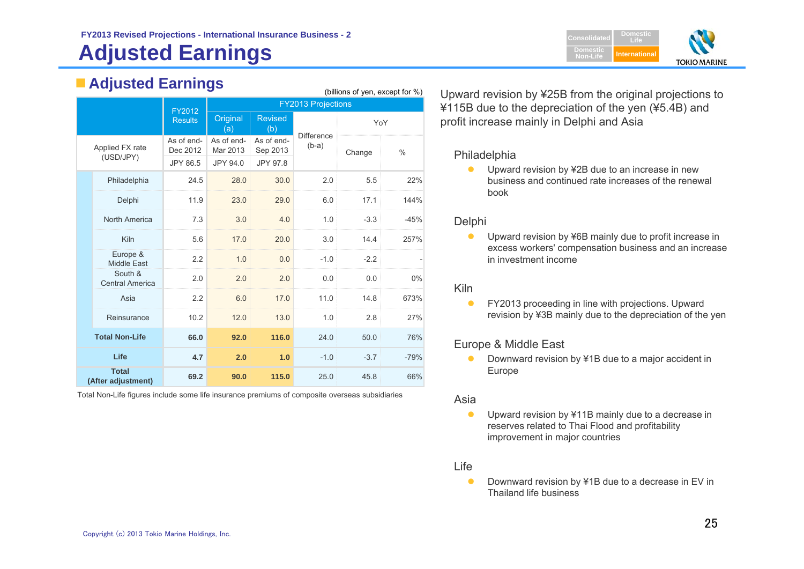# **Adjusted Earnings**

| <b>Adjusted Earnings</b>           |                        |                        |                        |                              | (billions of yen, except for %) |        | Upward revision by ¥25B from the original projections to                                                                      |
|------------------------------------|------------------------|------------------------|------------------------|------------------------------|---------------------------------|--------|-------------------------------------------------------------------------------------------------------------------------------|
|                                    | FY2012                 |                        |                        | <b>FY2013 Projections</b>    |                                 |        | ¥115B due to the depreciation of the yen (¥5.4B) and                                                                          |
|                                    | <b>Results</b>         | Original<br>(a)        | <b>Revised</b><br>(b)  |                              | YoY                             |        | profit increase mainly in Delphi and Asia                                                                                     |
| Applied FX rate<br>(USD/JPY)       | As of end-<br>Dec 2012 | As of end-<br>Mar 2013 | As of end-<br>Sep 2013 | <b>Difference</b><br>$(b-a)$ | Change                          | $\%$   | Philadelphia                                                                                                                  |
|                                    | JPY 86.5               | JPY 94.0               | JPY 97.8               |                              |                                 |        | $\bullet$<br>Upward revision by ¥2B due to an increase in new                                                                 |
| Philadelphia                       | 24.5                   | 28.0                   | 30.0                   | 2.0                          | 5.5                             | 22%    | business and continued rate increases of the renewal                                                                          |
| Delphi                             | 11.9                   | 23.0                   | 29.0                   | 6.0                          | 17.1                            | 144%   | book                                                                                                                          |
| North America                      | 7.3                    | 3.0                    | 4.0                    | 1.0                          | $-3.3$                          | $-45%$ | Delphi                                                                                                                        |
| Kiln                               | 5.6                    | 17.0                   | 20.0                   | 3.0                          | 14.4                            | 257%   | $\bullet$<br>Upward revision by ¥6B mainly due to profit increase in<br>excess workers' compensation business and an increase |
| Europe &<br>Middle East            | 2.2                    | 1.0                    | 0.0                    | $-1.0$                       | $-2.2$                          |        | in investment income                                                                                                          |
| South &<br><b>Central America</b>  | 2.0                    | 2.0                    | 2.0                    | 0.0                          | 0.0                             | 0%     | Kiln                                                                                                                          |
| Asia                               | 2.2                    | 6.0                    | 17.0                   | 11.0                         | 14.8                            | 673%   | FY2013 proceeding in line with projections. Upward<br>$\bullet$                                                               |
| Reinsurance                        | 10.2                   | 12.0                   | 13.0                   | 1.0                          | 2.8                             | 27%    | revision by ¥3B mainly due to the depreciation of the yer                                                                     |
| <b>Total Non-Life</b>              | 66.0                   | 92.0                   | 116.0                  | 24.0                         | 50.0                            | 76%    | Europe & Middle East                                                                                                          |
| Life                               | 4.7                    | 2.0                    | 1.0                    | $-1.0$                       | $-3.7$                          | $-79%$ | Downward revision by ¥1B due to a major accident in<br>$\bullet$                                                              |
| <b>Total</b><br>(After adjustment) | 69.2                   | 90.0                   | 115.0                  | 25.0                         | 45.8                            | 66%    | Europe                                                                                                                        |

Total Non-Life figures include some life insurance premiums of composite overseas subsidiaries

**DomesticLifeDomestic Non-LifeInternational TOKIO MARINE** 

### Philadelphia

### Delphi

### Kiln

### Europe & Middle East

### Asia

 $\bullet$  Upward revision by ¥11B mainly due to a decrease in reserves related to Thai Flood and profitability improvement in major countries

#### Life

 $\bullet$  Downward revision by ¥1B due to a decrease in EV in Thailand life business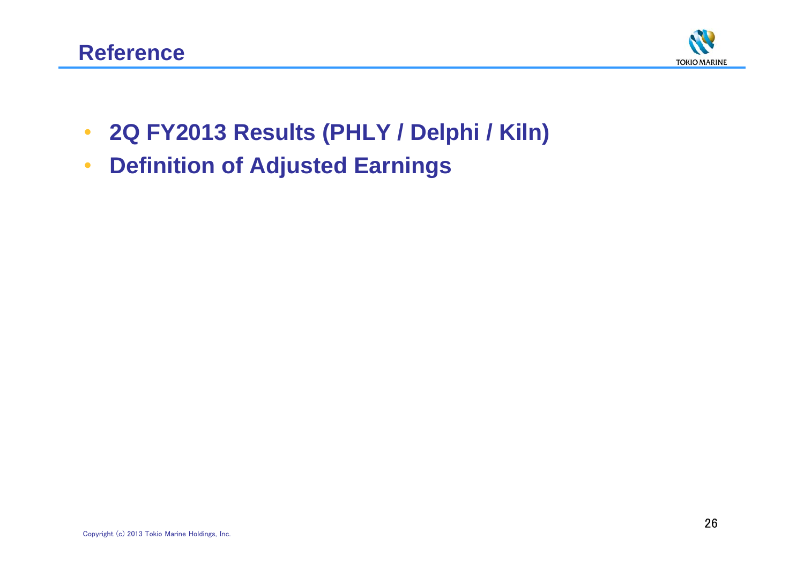

- •**2Q FY2013 Results (PHLY / Delphi / Kiln)**
- •**Definition of Adjusted Earnings**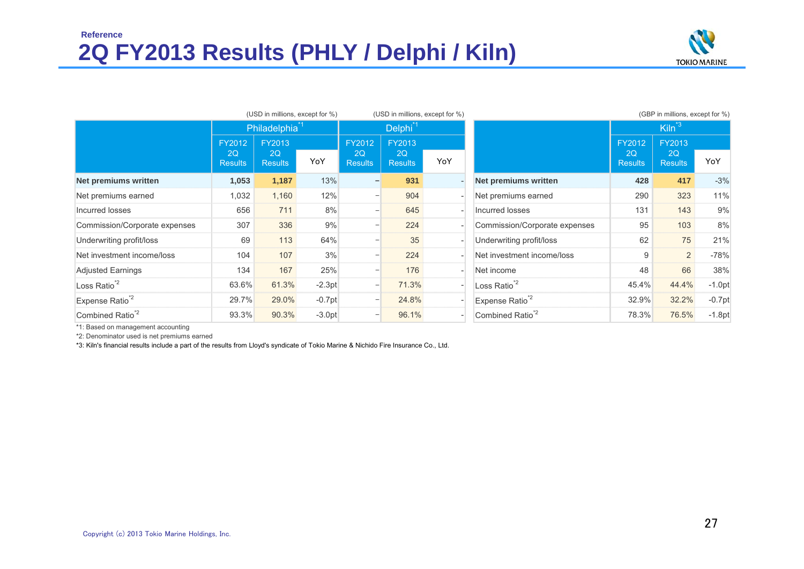## **2Q FY2013 Results (PHLY / Delphi / Kiln) Reference**



|                               | (USD in millions, except for %) |                           |          | (USD in millions, except for %) |                      |     |                               | (GBP in millions, except for %) |                      |          |
|-------------------------------|---------------------------------|---------------------------|----------|---------------------------------|----------------------|-----|-------------------------------|---------------------------------|----------------------|----------|
|                               |                                 | Philadelphia <sup>1</sup> |          | Delphi <sup>1</sup>             |                      |     |                               |                                 | $Kiln^3$             |          |
|                               | FY2012                          | FY2013                    |          | FY2012                          | FY2013               |     |                               | FY2012                          | FY2013               |          |
|                               | 2Q<br><b>Results</b>            | 2Q<br><b>Results</b>      | YoY      | 2Q<br><b>Results</b>            | 2Q<br><b>Results</b> | YoY |                               | 2Q<br><b>Results</b>            | 2Q<br><b>Results</b> | YoY      |
| <b>Net premiums written</b>   | 1,053                           | 1,187                     | 13%      | $\qquad \qquad -$               | 931                  |     | Net premiums written          | 428                             | 417                  | $-3%$    |
| Net premiums earned           | 1,032                           | 1,160                     | 12%      | $\overline{\phantom{m}}$        | 904                  |     | Net premiums earned           | 290                             | 323                  | 11%      |
| Incurred losses               | 656                             | 711                       | 8%       | -                               | 645                  |     | Incurred losses               | 131                             | 143                  | 9%       |
| Commission/Corporate expenses | 307                             | 336                       | 9%       | -                               | 224                  |     | Commission/Corporate expenses | 95                              | 103                  | 8%       |
| Underwriting profit/loss      | 69                              | 113                       | 64%      |                                 | 35                   |     | Underwriting profit/loss      | 62                              | 75                   | 21%      |
| Net investment income/loss    | 104                             | 107                       | 3%       | -                               | 224                  |     | Net investment income/loss    | 9                               | $\overline{2}$       | $-78%$   |
| <b>Adjusted Earnings</b>      | 134                             | 167                       | 25%      | -                               | 176                  |     | Net income                    | 48                              | 66                   | 38%      |
| Loss Ratio <sup>*2</sup>      | 63.6%                           | 61.3%                     | $-2.3pt$ | -                               | 71.3%                |     | Loss Ratio <sup>*2</sup>      | 45.4%                           | 44.4%                | $-1.0pt$ |
| Expense Ratio <sup>*2</sup>   | 29.7%                           | 29.0%                     | $-0.7pt$ | $\overline{\phantom{a}}$        | 24.8%                |     | Expense Ratio <sup>*2</sup>   | 32.9%                           | 32.2%                | $-0.7pt$ |
| Combined Ratio <sup>*2</sup>  | 93.3%                           | 90.3%                     | $-3.0pt$ | -                               | 96.1%                |     | Combined Ratio <sup>2</sup>   | 78.3%                           | 76.5%                | $-1.8pt$ |

\*1: Based on management accounting

\*2: Denominator used is net premiums earned

\*3: Kiln's financial results include a part of the results from Lloyd's syndicate of Tokio Marine & Nichido Fire Insurance Co., Ltd.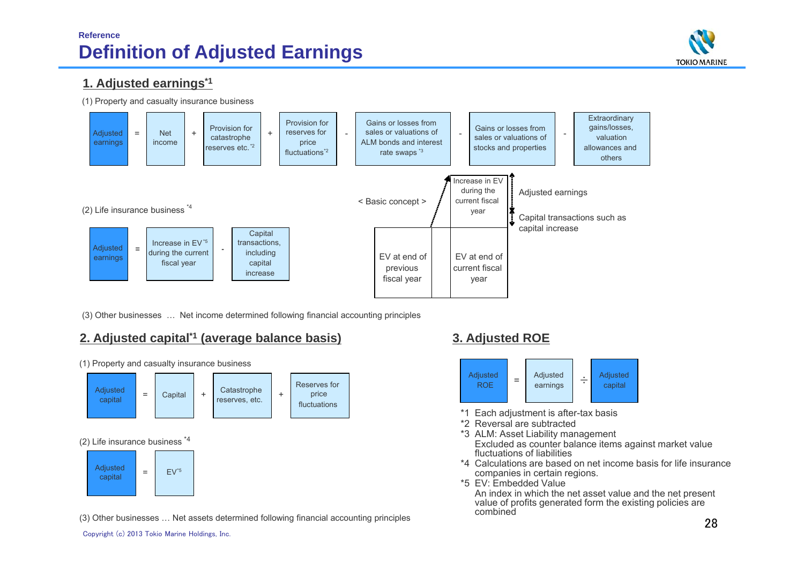## **Reference Definition of Adjusted Earnings**



### **1. Adjusted earnings\*1**

(1) Property and casualty insurance business



(3) Other businesses … Net income determined following financial accounting principles

## **2. Adjusted capital\*1 (average balance basis) 3. Adjusted ROE**



(1) Property and casualty insurance business

#### (3) Other businesses … Net assets determined following financial accounting principles



- \*1 Each adjustment is after-tax basis
- \*2 Reversal are subtracted
- \*3 ALM: Asset Liability management Excluded as counter balance items against market value fluctuations of liabilities
- \*4 Calculations are based on net income basis for life insurance companies in certain regions.
- \*5 EV: Embedded Value

An index in which the net asset value and the net present value of profits generated form the existing policies are combined